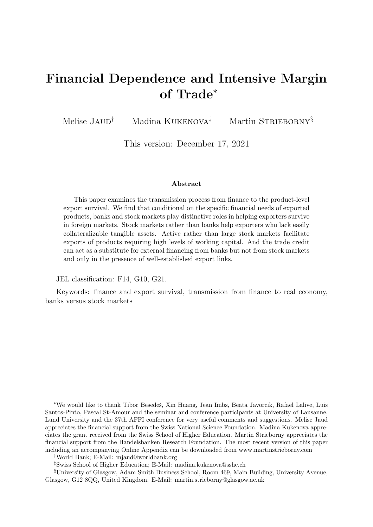# Financial Dependence and Intensive Margin of Trade<sup>∗</sup>

Melise Jaup<sup>†</sup> Madina Kukenova<sup>‡</sup> Martin Strieborny<sup>§</sup>

This version: December 17, 2021

#### Abstract

This paper examines the transmission process from finance to the product-level export survival. We find that conditional on the specific financial needs of exported products, banks and stock markets play distinctive roles in helping exporters survive in foreign markets. Stock markets rather than banks help exporters who lack easily collateralizable tangible assets. Active rather than large stock markets facilitate exports of products requiring high levels of working capital. And the trade credit can act as a substitute for external financing from banks but not from stock markets and only in the presence of well-established export links.

JEL classification: F14, G10, G21.

Keywords: finance and export survival, transmission from finance to real economy, banks versus stock markets

<sup>∗</sup>We would like to thank Tibor Besedeˇs, Xin Huang, Jean Imbs, Beata Javorcik, Rafael Lalive, Luis Santos-Pinto, Pascal St-Amour and the seminar and conference participants at University of Lausanne, Lund University and the 37th AFFI conference for very useful comments and suggestions. Melise Jaud appreciates the financial support from the Swiss National Science Foundation. Madina Kukenova appreciates the grant received from the Swiss School of Higher Education. Martin Strieborny appreciates the financial support from the Handelsbanken Research Foundation. The most recent version of this paper including an accompanying Online Appendix can be downloaded from www.martinstrieborny.com

<sup>†</sup>World Bank; E-Mail: mjaud@worldbank.org

<sup>‡</sup>Swiss School of Higher Education; E-Mail: madina.kukenova@sshe.ch

<sup>§</sup>University of Glasgow, Adam Smith Business School, Room 469, Main Building, University Avenue, Glasgow, G12 8QQ, United Kingdom. E-Mail: martin.strieborny@glasgow.ac.uk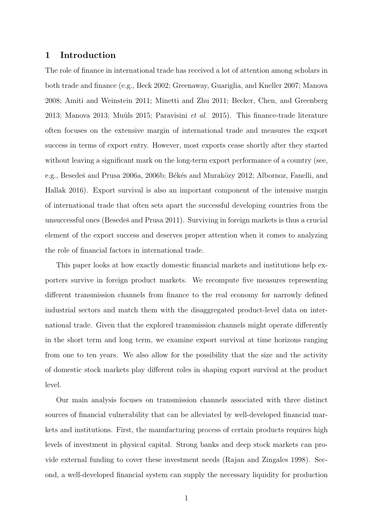## 1 Introduction

The role of finance in international trade has received a lot of attention among scholars in both trade and finance (e.g., Beck 2002; Greenaway, Guariglia, and Kneller 2007; Manova 2008; Amiti and Weinstein 2011; Minetti and Zhu 2011; Becker, Chen, and Greenberg 2013; Manova 2013; Muûls 2015; Paravisini *et al.* 2015). This finance-trade literature often focuses on the extensive margin of international trade and measures the export success in terms of export entry. However, most exports cease shortly after they started without leaving a significant mark on the long-term export performance of a country (see, e.g., Besedeš and Prusa 2006a, 2006b; Békés and Muraközy 2012; Albornoz, Fanelli, and Hallak 2016). Export survival is also an important component of the intensive margin of international trade that often sets apart the successful developing countries from the unsuccessful ones (Besedes and Prusa 2011). Surviving in foreign markets is thus a crucial element of the export success and deserves proper attention when it comes to analyzing the role of financial factors in international trade.

This paper looks at how exactly domestic financial markets and institutions help exporters survive in foreign product markets. We recompute five measures representing different transmission channels from finance to the real economy for narrowly defined industrial sectors and match them with the disaggregated product-level data on international trade. Given that the explored transmission channels might operate differently in the short term and long term, we examine export survival at time horizons ranging from one to ten years. We also allow for the possibility that the size and the activity of domestic stock markets play different roles in shaping export survival at the product level.

Our main analysis focuses on transmission channels associated with three distinct sources of financial vulnerability that can be alleviated by well-developed financial markets and institutions. First, the manufacturing process of certain products requires high levels of investment in physical capital. Strong banks and deep stock markets can provide external funding to cover these investment needs (Rajan and Zingales 1998). Second, a well-developed financial system can supply the necessary liquidity for production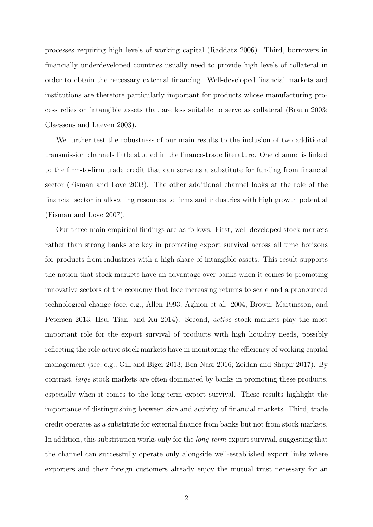processes requiring high levels of working capital (Raddatz 2006). Third, borrowers in financially underdeveloped countries usually need to provide high levels of collateral in order to obtain the necessary external financing. Well-developed financial markets and institutions are therefore particularly important for products whose manufacturing process relies on intangible assets that are less suitable to serve as collateral (Braun 2003; Claessens and Laeven 2003).

We further test the robustness of our main results to the inclusion of two additional transmission channels little studied in the finance-trade literature. One channel is linked to the firm-to-firm trade credit that can serve as a substitute for funding from financial sector (Fisman and Love 2003). The other additional channel looks at the role of the financial sector in allocating resources to firms and industries with high growth potential (Fisman and Love 2007).

Our three main empirical findings are as follows. First, well-developed stock markets rather than strong banks are key in promoting export survival across all time horizons for products from industries with a high share of intangible assets. This result supports the notion that stock markets have an advantage over banks when it comes to promoting innovative sectors of the economy that face increasing returns to scale and a pronounced technological change (see, e.g., Allen 1993; Aghion et al. 2004; Brown, Martinsson, and Petersen 2013; Hsu, Tian, and Xu 2014). Second, active stock markets play the most important role for the export survival of products with high liquidity needs, possibly reflecting the role active stock markets have in monitoring the efficiency of working capital management (see, e.g., Gill and Biger 2013; Ben-Nasr 2016; Zeidan and Shapir 2017). By contrast, large stock markets are often dominated by banks in promoting these products, especially when it comes to the long-term export survival. These results highlight the importance of distinguishing between size and activity of financial markets. Third, trade credit operates as a substitute for external finance from banks but not from stock markets. In addition, this substitution works only for the *long-term* export survival, suggesting that the channel can successfully operate only alongside well-established export links where exporters and their foreign customers already enjoy the mutual trust necessary for an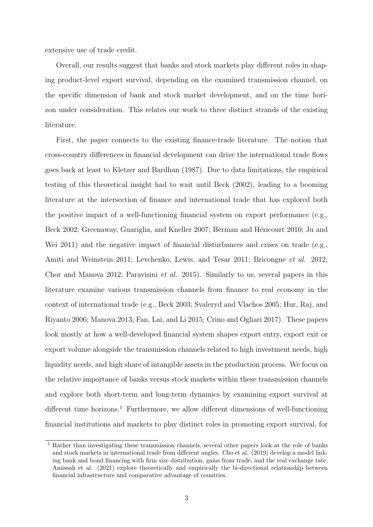extensive use of trade credit.

Overall, our results suggest that banks and stock markets play different roles in shaping product-level export survival, depending on the examined transmission channel, on the specific dimension of bank and stock market development, and on the time horizon under consideration. This relates our work to three distinct strands of the existing literature.

First, the paper connects to the existing finance-trade literature. The notion that cross-country differences in financial development can drive the international trade flows goes back at least to Kletzer and Bardhan (1987). Due to data limitations, the empirical testing of this theoretical insight had to wait until Beck (2002), leading to a booming literature at the intersection of finance and international trade that has explored both the positive impact of a well-functioning financial system on export performance (e.g., Beck 2002; Greenaway, Guariglia, and Kneller 2007; Berman and Héricourt 2010; Ju and Wei 2011) and the negative impact of financial disturbances and crises on trade (e.g., Amiti and Weinstein 2011; Levchenko, Lewis, and Tesar 2011; Bricongne et al. 2012; Chor and Manova 2012; Paravisini et al. 2015). Similarly to us, several papers in this literature examine various transmission channels from finance to real economy in the context of international trade (e.g., Beck 2003; Svaleryd and Vlachos 2005; Hur, Raj, and Riyanto 2006; Manova 2013; Fan, Lai, and Li 2015; Crino and Ogliari 2017). These papers look mostly at how a well-developed financial system shapes export entry, export exit or export volume alongside the transmission channels related to high investment needs, high liquidity needs, and high share of intangible assets in the production process. We focus on the relative importance of banks versus stock markets within these transmission channels and explore both short-term and long-term dynamics by examining export survival at different time horizons.<sup>[1](#page-3-0)</sup> Furthermore, we allow different dimensions of well-functioning financial institutions and markets to play distinct roles in promoting export survival, for

<span id="page-3-0"></span><sup>&</sup>lt;sup>1</sup> Rather than investigating these transmission channels, several other papers look at the role of banks and stock markets in international trade from different angles. Cho et al. (2019) develop a model linking bank and bond financing with firm size distribution, gains from trade, and the real exchange rate. Amissah et al. (2021) explore theoretically and empirically the bi-directional relationship between financial infrastructure and comparative advantage of countries.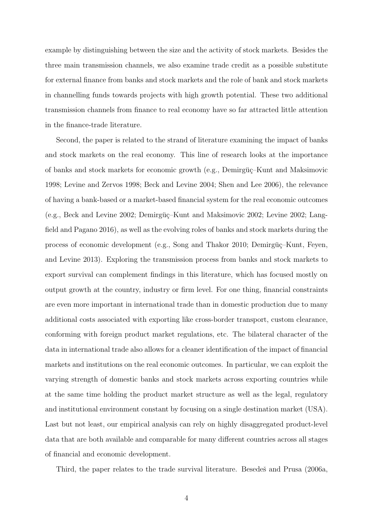example by distinguishing between the size and the activity of stock markets. Besides the three main transmission channels, we also examine trade credit as a possible substitute for external finance from banks and stock markets and the role of bank and stock markets in channelling funds towards projects with high growth potential. These two additional transmission channels from finance to real economy have so far attracted little attention in the finance-trade literature.

Second, the paper is related to the strand of literature examining the impact of banks and stock markets on the real economy. This line of research looks at the importance of banks and stock markets for economic growth (e.g., Demirguç–Kunt and Maksimovic 1998; Levine and Zervos 1998; Beck and Levine 2004; Shen and Lee 2006), the relevance of having a bank-based or a market-based financial system for the real economic outcomes (e.g., Beck and Levine 2002; Demirgüç–Kunt and Maksimovic 2002; Levine 2002; Langfield and Pagano 2016), as well as the evolving roles of banks and stock markets during the process of economic development (e.g., Song and Thakor 2010; Demirguç–Kunt, Feyen, and Levine 2013). Exploring the transmission process from banks and stock markets to export survival can complement findings in this literature, which has focused mostly on output growth at the country, industry or firm level. For one thing, financial constraints are even more important in international trade than in domestic production due to many additional costs associated with exporting like cross-border transport, custom clearance, conforming with foreign product market regulations, etc. The bilateral character of the data in international trade also allows for a cleaner identification of the impact of financial markets and institutions on the real economic outcomes. In particular, we can exploit the varying strength of domestic banks and stock markets across exporting countries while at the same time holding the product market structure as well as the legal, regulatory and institutional environment constant by focusing on a single destination market (USA). Last but not least, our empirical analysis can rely on highly disaggregated product-level data that are both available and comparable for many different countries across all stages of financial and economic development.

Third, the paper relates to the trade survival literature. Besedes and Prusa (2006a,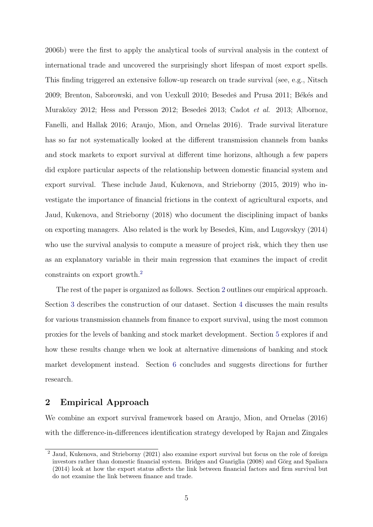2006b) were the first to apply the analytical tools of survival analysis in the context of international trade and uncovered the surprisingly short lifespan of most export spells. This finding triggered an extensive follow-up research on trade survival (see, e.g., Nitsch 2009; Brenton, Saborowski, and von Uexkull 2010; Besedeš and Prusa 2011; Békés and Muraközy 2012; Hess and Persson 2012; Besedeš 2013; Cadot *et al.* 2013; Albornoz, Fanelli, and Hallak 2016; Araujo, Mion, and Ornelas 2016). Trade survival literature has so far not systematically looked at the different transmission channels from banks and stock markets to export survival at different time horizons, although a few papers did explore particular aspects of the relationship between domestic financial system and export survival. These include Jaud, Kukenova, and Strieborny (2015, 2019) who investigate the importance of financial frictions in the context of agricultural exports, and Jaud, Kukenova, and Strieborny (2018) who document the disciplining impact of banks on exporting managers. Also related is the work by Besedeˇs, Kim, and Lugovskyy (2014) who use the survival analysis to compute a measure of project risk, which they then use as an explanatory variable in their main regression that examines the impact of credit constraints on export growth.[2](#page-5-0)

The rest of the paper is organized as follows. Section [2](#page-5-1) outlines our empirical approach. Section [3](#page-12-0) describes the construction of our dataset. Section [4](#page-19-0) discusses the main results for various transmission channels from finance to export survival, using the most common proxies for the levels of banking and stock market development. Section [5](#page-33-0) explores if and how these results change when we look at alternative dimensions of banking and stock market development instead. Section [6](#page-40-0) concludes and suggests directions for further research.

## <span id="page-5-1"></span>2 Empirical Approach

We combine an export survival framework based on Araujo, Mion, and Ornelas (2016) with the difference-in-differences identification strategy developed by Rajan and Zingales

<span id="page-5-0"></span><sup>2</sup> Jaud, Kukenova, and Strieborny (2021) also examine export survival but focus on the role of foreign investors rather than domestic financial system. Bridges and Guariglia (2008) and Görg and Spaliara (2014) look at how the export status affects the link between financial factors and firm survival but do not examine the link between finance and trade.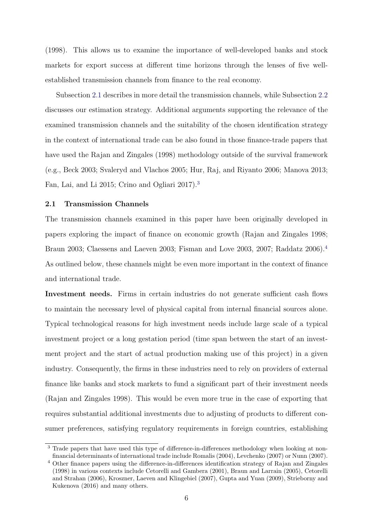(1998). This allows us to examine the importance of well-developed banks and stock markets for export success at different time horizons through the lenses of five wellestablished transmission channels from finance to the real economy.

Subsection [2.1](#page-6-0) describes in more detail the transmission channels, while Subsection [2.2](#page-9-0) discusses our estimation strategy. Additional arguments supporting the relevance of the examined transmission channels and the suitability of the chosen identification strategy in the context of international trade can be also found in those finance-trade papers that have used the Rajan and Zingales (1998) methodology outside of the survival framework (e.g., Beck 2003; Svaleryd and Vlachos 2005; Hur, Raj, and Riyanto 2006; Manova 2013; Fan, Lai, and Li 2015; Crino and Ogliari 2017).<sup>[3](#page-6-1)</sup>

#### <span id="page-6-0"></span>2.1 Transmission Channels

The transmission channels examined in this paper have been originally developed in papers exploring the impact of finance on economic growth (Rajan and Zingales 1998; Braun 2003; Claessens and Laeven 2003; Fisman and Love 2003, 2007; Raddatz 2006).<sup>[4](#page-6-2)</sup> As outlined below, these channels might be even more important in the context of finance and international trade.

Investment needs. Firms in certain industries do not generate sufficient cash flows to maintain the necessary level of physical capital from internal financial sources alone. Typical technological reasons for high investment needs include large scale of a typical investment project or a long gestation period (time span between the start of an investment project and the start of actual production making use of this project) in a given industry. Consequently, the firms in these industries need to rely on providers of external finance like banks and stock markets to fund a significant part of their investment needs (Rajan and Zingales 1998). This would be even more true in the case of exporting that requires substantial additional investments due to adjusting of products to different consumer preferences, satisfying regulatory requirements in foreign countries, establishing

<span id="page-6-1"></span><sup>3</sup> Trade papers that have used this type of difference-in-differences methodology when looking at nonfinancial determinants of international trade include Romalis (2004), Levchenko (2007) or Nunn (2007).

<span id="page-6-2"></span><sup>4</sup> Other finance papers using the difference-in-differences identification strategy of Rajan and Zingales (1998) in various contexts include Cetorelli and Gambera (2001), Braun and Larrain (2005), Cetorelli and Strahan (2006), Kroszner, Laeven and Klingebiel (2007), Gupta and Yuan (2009), Strieborny and Kukenova (2016) and many others.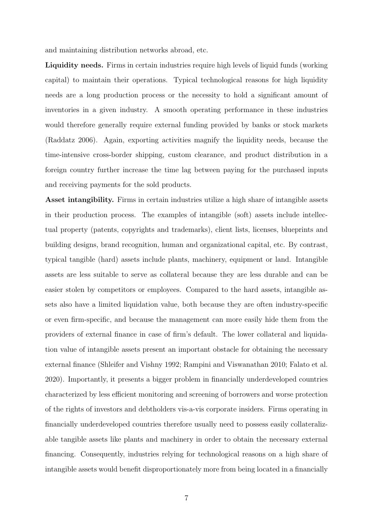and maintaining distribution networks abroad, etc.

Liquidity needs. Firms in certain industries require high levels of liquid funds (working capital) to maintain their operations. Typical technological reasons for high liquidity needs are a long production process or the necessity to hold a significant amount of inventories in a given industry. A smooth operating performance in these industries would therefore generally require external funding provided by banks or stock markets (Raddatz 2006). Again, exporting activities magnify the liquidity needs, because the time-intensive cross-border shipping, custom clearance, and product distribution in a foreign country further increase the time lag between paying for the purchased inputs and receiving payments for the sold products.

Asset intangibility. Firms in certain industries utilize a high share of intangible assets in their production process. The examples of intangible (soft) assets include intellectual property (patents, copyrights and trademarks), client lists, licenses, blueprints and building designs, brand recognition, human and organizational capital, etc. By contrast, typical tangible (hard) assets include plants, machinery, equipment or land. Intangible assets are less suitable to serve as collateral because they are less durable and can be easier stolen by competitors or employees. Compared to the hard assets, intangible assets also have a limited liquidation value, both because they are often industry-specific or even firm-specific, and because the management can more easily hide them from the providers of external finance in case of firm's default. The lower collateral and liquidation value of intangible assets present an important obstacle for obtaining the necessary external finance (Shleifer and Vishny 1992; Rampini and Viswanathan 2010; Falato et al. 2020). Importantly, it presents a bigger problem in financially underdeveloped countries characterized by less efficient monitoring and screening of borrowers and worse protection of the rights of investors and debtholders vis-a-vis corporate insiders. Firms operating in financially underdeveloped countries therefore usually need to possess easily collateralizable tangible assets like plants and machinery in order to obtain the necessary external financing. Consequently, industries relying for technological reasons on a high share of intangible assets would benefit disproportionately more from being located in a financially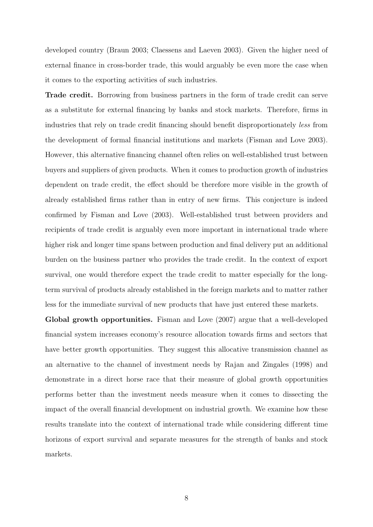developed country (Braun 2003; Claessens and Laeven 2003). Given the higher need of external finance in cross-border trade, this would arguably be even more the case when it comes to the exporting activities of such industries.

Trade credit. Borrowing from business partners in the form of trade credit can serve as a substitute for external financing by banks and stock markets. Therefore, firms in industries that rely on trade credit financing should benefit disproportionately less from the development of formal financial institutions and markets (Fisman and Love 2003). However, this alternative financing channel often relies on well-established trust between buyers and suppliers of given products. When it comes to production growth of industries dependent on trade credit, the effect should be therefore more visible in the growth of already established firms rather than in entry of new firms. This conjecture is indeed confirmed by Fisman and Love (2003). Well-established trust between providers and recipients of trade credit is arguably even more important in international trade where higher risk and longer time spans between production and final delivery put an additional burden on the business partner who provides the trade credit. In the context of export survival, one would therefore expect the trade credit to matter especially for the longterm survival of products already established in the foreign markets and to matter rather less for the immediate survival of new products that have just entered these markets.

Global growth opportunities. Fisman and Love (2007) argue that a well-developed financial system increases economy's resource allocation towards firms and sectors that have better growth opportunities. They suggest this allocative transmission channel as an alternative to the channel of investment needs by Rajan and Zingales (1998) and demonstrate in a direct horse race that their measure of global growth opportunities performs better than the investment needs measure when it comes to dissecting the impact of the overall financial development on industrial growth. We examine how these results translate into the context of international trade while considering different time horizons of export survival and separate measures for the strength of banks and stock markets.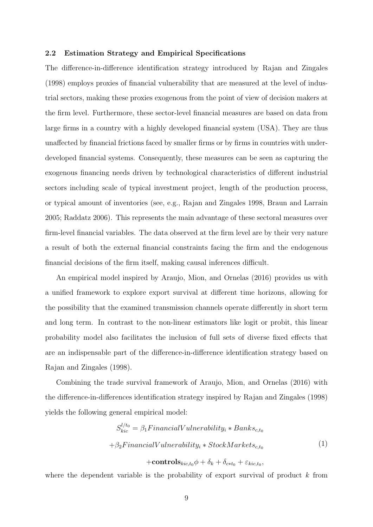#### <span id="page-9-0"></span>2.2 Estimation Strategy and Empirical Specifications

The difference-in-difference identification strategy introduced by Rajan and Zingales (1998) employs proxies of financial vulnerability that are measured at the level of industrial sectors, making these proxies exogenous from the point of view of decision makers at the firm level. Furthermore, these sector-level financial measures are based on data from large firms in a country with a highly developed financial system (USA). They are thus unaffected by financial frictions faced by smaller firms or by firms in countries with underdeveloped financial systems. Consequently, these measures can be seen as capturing the exogenous financing needs driven by technological characteristics of different industrial sectors including scale of typical investment project, length of the production process, or typical amount of inventories (see, e.g., Rajan and Zingales 1998, Braun and Larrain 2005; Raddatz 2006). This represents the main advantage of these sectoral measures over firm-level financial variables. The data observed at the firm level are by their very nature a result of both the external financial constraints facing the firm and the endogenous financial decisions of the firm itself, making causal inferences difficult.

An empirical model inspired by Araujo, Mion, and Ornelas (2016) provides us with a unified framework to explore export survival at different time horizons, allowing for the possibility that the examined transmission channels operate differently in short term and long term. In contrast to the non-linear estimators like logit or probit, this linear probability model also facilitates the inclusion of full sets of diverse fixed effects that are an indispensable part of the difference-in-difference identification strategy based on Rajan and Zingales (1998).

Combining the trade survival framework of Araujo, Mion, and Ornelas (2016) with the difference-in-differences identification strategy inspired by Rajan and Zingales (1998) yields the following general empirical model:

$$
S_{kic}^{l/t_0} = \beta_1 FinancialVulnerability_i * Banks_{c,t_0}
$$

$$
+\beta_2FinancialVulnerability_i * StockMarkets_{c,t_0}
$$

$$
+controls_{kic,t_0} \phi + \delta_k + \delta_{c*t_0} + \varepsilon_{kic,t_0},
$$

$$
(1)
$$

<span id="page-9-1"></span>where the dependent variable is the probability of export survival of product  $k$  from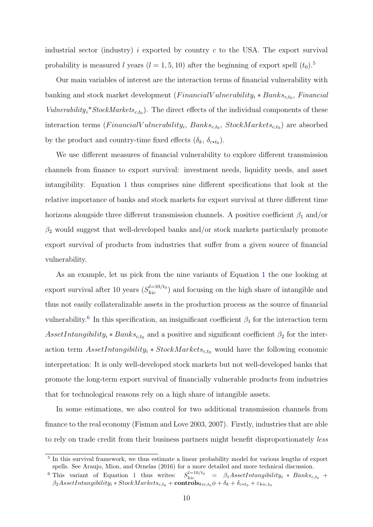industrial sector (industry) i exported by country  $c$  to the USA. The export survival probability is measured l years  $(l = 1, 5, 10)$  $(l = 1, 5, 10)$  $(l = 1, 5, 10)$  after the beginning of export spell  $(t_0)$ .<sup>5</sup>

Our main variables of interest are the interaction terms of financial vulnerability with banking and stock market development  $(FinancialVulnerability_i * Banks_{c,t_0}, FinancialVutnerability_i * Banks_{c,t_0})$ Vulnerability<sub>i</sub>\*StockMarkets<sub>c,t<sub>0</sub></sub>). The direct effects of the individual components of these interaction terms ( $FinancialVuherability_i$ ,  $Banks_{c,t_0}$ ,  $StockMarkets_{c,t_0}$ ) are absorbed by the product and country-time fixed effects  $(\delta_k, \delta_{c*t_0})$ .

We use different measures of financial vulnerability to explore different transmission channels from finance to export survival: investment needs, liquidity needs, and asset intangibility. Equation [1](#page-9-1) thus comprises nine different specifications that look at the relative importance of banks and stock markets for export survival at three different time horizons alongside three different transmission channels. A positive coefficient  $\beta_1$  and/or  $\beta_2$  would suggest that well-developed banks and/or stock markets particularly promote export survival of products from industries that suffer from a given source of financial vulnerability.

As an example, let us pick from the nine variants of Equation [1](#page-9-1) the one looking at export survival after 10 years  $(S_{kic}^{l=10/t_0})$  and focusing on the high share of intangible and thus not easily collateralizable assets in the production process as the source of financial vulnerability.<sup>[6](#page-10-1)</sup> In this specification, an insignificant coefficient  $\beta_1$  for the interaction term AssetIntangibility<sub>i</sub> \* Banks<sub>c,t<sub>0</sub></sub> and a positive and significant coefficient  $\beta_2$  for the interaction term  $\text{A} \text{sset} \text{Intangibility}_i * \text{Stock} \text{Markets}_{c,t_0}$  would have the following economic interpretation: It is only well-developed stock markets but not well-developed banks that promote the long-term export survival of financially vulnerable products from industries that for technological reasons rely on a high share of intangible assets.

In some estimations, we also control for two additional transmission channels from finance to the real economy (Fisman and Love 2003, 2007). Firstly, industries that are able to rely on trade credit from their business partners might benefit disproportionately *less* 

<span id="page-10-0"></span><sup>&</sup>lt;sup>5</sup> In this survival framework, we thus estimate a linear probability model for various lengths of export spells. See Araujo, Mion, and Ornelas (2016) for a more detailed and more technical discussion.

<span id="page-10-1"></span><sup>&</sup>lt;sup>6</sup> This variant of Equation [1](#page-9-1) thus writes:  $S_{kic}^{l=10/t_0} = \beta_1 AssetIntangibility_i * Banks_{c,t_0} +$  $\beta_2As set Intangibility_i * StockMarkets_{c,t_0} + \textbf{controls}_{kic,t_0} \phi + \delta_k + \delta_{c*t_0} + \varepsilon_{kic,t_0}$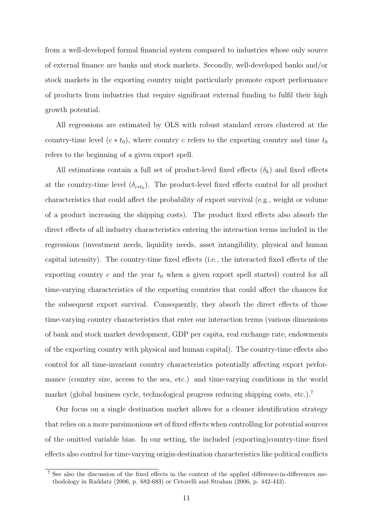from a well-developed formal financial system compared to industries whose only source of external finance are banks and stock markets. Secondly, well-developed banks and/or stock markets in the exporting country might particularly promote export performance of products from industries that require significant external funding to fulfil their high growth potential.

All regressions are estimated by OLS with robust standard errors clustered at the country-time level  $(c * t_0)$ , where country c refers to the exporting country and time  $t_0$ refers to the beginning of a given export spell.

All estimations contain a full set of product-level fixed effects  $(\delta_k)$  and fixed effects at the country-time level  $(\delta_{c*t_0})$ . The product-level fixed effects control for all product characteristics that could affect the probability of export survival (e.g., weight or volume of a product increasing the shipping costs). The product fixed effects also absorb the direct effects of all industry characteristics entering the interaction terms included in the regressions (investment needs, liquidity needs, asset intangibility, physical and human capital intensity). The country-time fixed effects (i.e., the interacted fixed effects of the exporting country  $c$  and the year  $t_0$  when a given export spell started) control for all time-varying characteristics of the exporting countries that could affect the chances for the subsequent export survival. Consequently, they absorb the direct effects of those time-varying country characteristics that enter our interaction terms (various dimensions of bank and stock market development, GDP per capita, real exchange rate, endowments of the exporting country with physical and human capital). The country-time effects also control for all time-invariant country characteristics potentially affecting export performance (country size, access to the sea, etc.) and time-varying conditions in the world market (global business cycle, technological progress reducing shipping costs, etc.).<sup>[7](#page-11-0)</sup>

Our focus on a single destination market allows for a cleaner identification strategy that relies on a more parsimonious set of fixed effects when controlling for potential sources of the omitted variable bias. In our setting, the included (exporting)country-time fixed effects also control for time-varying origin-destination characteristics like political conflicts

<span id="page-11-0"></span><sup>7</sup> See also the discussion of the fixed effects in the context of the applied difference-in-differences methodology in Raddatz (2006, p. 682-683) or Cetorelli and Strahan (2006, p. 442-443).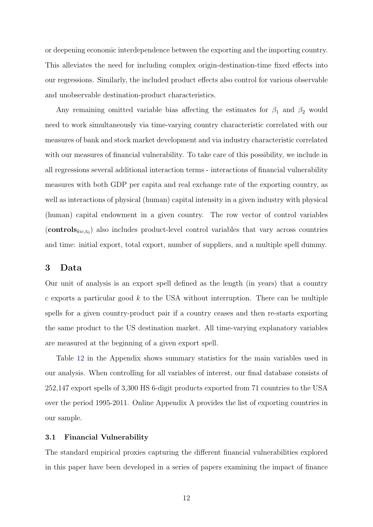or deepening economic interdependence between the exporting and the importing country. This alleviates the need for including complex origin-destination-time fixed effects into our regressions. Similarly, the included product effects also control for various observable and unobservable destination-product characteristics.

Any remaining omitted variable bias affecting the estimates for  $\beta_1$  and  $\beta_2$  would need to work simultaneously via time-varying country characteristic correlated with our measures of bank and stock market development and via industry characteristic correlated with our measures of financial vulnerability. To take care of this possibility, we include in all regressions several additional interaction terms - interactions of financial vulnerability measures with both GDP per capita and real exchange rate of the exporting country, as well as interactions of physical (human) capital intensity in a given industry with physical (human) capital endowment in a given country. The row vector of control variables  $(controls_{kic,t_0})$  also includes product-level control variables that vary across countries and time: initial export, total export, number of suppliers, and a multiple spell dummy.

## <span id="page-12-0"></span>3 Data

Our unit of analysis is an export spell defined as the length (in years) that a country  $c$  exports a particular good  $k$  to the USA without interruption. There can be multiple spells for a given country-product pair if a country ceases and then re-starts exporting the same product to the US destination market. All time-varying explanatory variables are measured at the beginning of a given export spell.

Table [12](#page-47-0) in the Appendix shows summary statistics for the main variables used in our analysis. When controlling for all variables of interest, our final database consists of 252,147 export spells of 3,300 HS 6-digit products exported from 71 countries to the USA over the period 1995-2011. Online Appendix A provides the list of exporting countries in our sample.

#### <span id="page-12-1"></span>3.1 Financial Vulnerability

The standard empirical proxies capturing the different financial vulnerabilities explored in this paper have been developed in a series of papers examining the impact of finance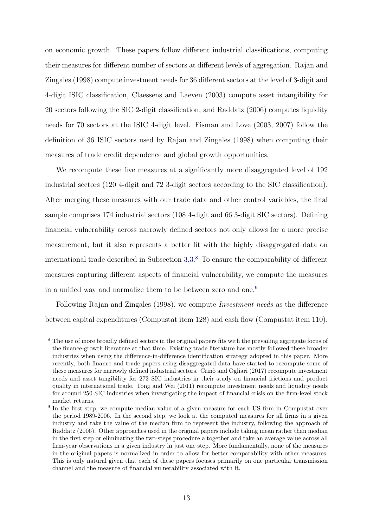on economic growth. These papers follow different industrial classifications, computing their measures for different number of sectors at different levels of aggregation. Rajan and Zingales (1998) compute investment needs for 36 different sectors at the level of 3-digit and 4-digit ISIC classification, Claessens and Laeven (2003) compute asset intangibility for 20 sectors following the SIC 2-digit classification, and Raddatz (2006) computes liquidity needs for 70 sectors at the ISIC 4-digit level. Fisman and Love (2003, 2007) follow the definition of 36 ISIC sectors used by Rajan and Zingales (1998) when computing their measures of trade credit dependence and global growth opportunities.

We recompute these five measures at a significantly more disaggregated level of 192 industrial sectors (120 4-digit and 72 3-digit sectors according to the SIC classification). After merging these measures with our trade data and other control variables, the final sample comprises 174 industrial sectors (108 4-digit and 66 3-digit SIC sectors). Defining financial vulnerability across narrowly defined sectors not only allows for a more precise measurement, but it also represents a better fit with the highly disaggregated data on international trade described in Subsection [3.3.](#page-17-0) [8](#page-13-0) To ensure the comparability of different measures capturing different aspects of financial vulnerability, we compute the measures in a unified way and normalize them to be between zero and one.<sup>[9](#page-13-1)</sup>

Following Rajan and Zingales (1998), we compute Investment needs as the difference between capital expenditures (Compustat item 128) and cash flow (Compustat item 110),

<span id="page-13-0"></span><sup>&</sup>lt;sup>8</sup> The use of more broadly defined sectors in the original papers fits with the prevailing aggregate focus of the finance-growth literature at that time. Existing trade literature has mostly followed these broader industries when using the difference-in-difference identification strategy adopted in this paper. More recently, both finance and trade papers using disaggregated data have started to recompute some of these measures for narrowly defined industrial sectors. Crinò and Ogliari (2017) recompute investment needs and asset tangibility for 273 SIC industries in their study on financial frictions and product quality in international trade. Tong and Wei (2011) recompute investment needs and liquidity needs for around 250 SIC industries when investigating the impact of financial crisis on the firm-level stock market returns.

<span id="page-13-1"></span><sup>&</sup>lt;sup>9</sup> In the first step, we compute median value of a given measure for each US firm in Compustat over the period 1989-2006. In the second step, we look at the computed measures for all firms in a given industry and take the value of the median firm to represent the industry, following the approach of Raddatz (2006). Other approaches used in the original papers include taking mean rather than median in the first step or eliminating the two-steps procedure altogether and take an average value across all firm-year observations in a given industry in just one step. More fundamentally, none of the measures in the original papers is normalized in order to allow for better comparability with other measures. This is only natural given that each of these papers focuses primarily on one particular transmission channel and the measure of financial vulnerability associated with it.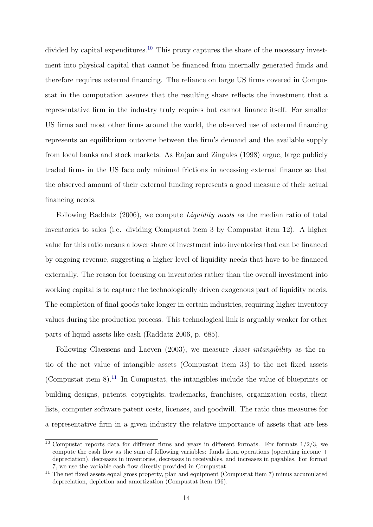divided by capital expenditures.<sup>[10](#page-14-0)</sup> This proxy captures the share of the necessary investment into physical capital that cannot be financed from internally generated funds and therefore requires external financing. The reliance on large US firms covered in Compustat in the computation assures that the resulting share reflects the investment that a representative firm in the industry truly requires but cannot finance itself. For smaller US firms and most other firms around the world, the observed use of external financing represents an equilibrium outcome between the firm's demand and the available supply from local banks and stock markets. As Rajan and Zingales (1998) argue, large publicly traded firms in the US face only minimal frictions in accessing external finance so that the observed amount of their external funding represents a good measure of their actual financing needs.

Following Raddatz (2006), we compute Liquidity needs as the median ratio of total inventories to sales (i.e. dividing Compustat item 3 by Compustat item 12). A higher value for this ratio means a lower share of investment into inventories that can be financed by ongoing revenue, suggesting a higher level of liquidity needs that have to be financed externally. The reason for focusing on inventories rather than the overall investment into working capital is to capture the technologically driven exogenous part of liquidity needs. The completion of final goods take longer in certain industries, requiring higher inventory values during the production process. This technological link is arguably weaker for other parts of liquid assets like cash (Raddatz 2006, p. 685).

Following Claessens and Laeven (2003), we measure Asset intangibility as the ratio of the net value of intangible assets (Compustat item 33) to the net fixed assets (Compustat item  $8$ ).<sup>[11](#page-14-1)</sup> In Compustat, the intangibles include the value of blueprints or building designs, patents, copyrights, trademarks, franchises, organization costs, client lists, computer software patent costs, licenses, and goodwill. The ratio thus measures for a representative firm in a given industry the relative importance of assets that are less

<span id="page-14-0"></span><sup>&</sup>lt;sup>10</sup> Compustat reports data for different firms and years in different formats. For formats  $1/2/3$ , we compute the cash flow as the sum of following variables: funds from operations (operating income  $+$ depreciation), decreases in inventories, decreases in receivables, and increases in payables. For format 7, we use the variable cash flow directly provided in Compustat.

<span id="page-14-1"></span><sup>&</sup>lt;sup>11</sup> The net fixed assets equal gross property, plan and equipment (Compustat item 7) minus accumulated depreciation, depletion and amortization (Compustat item 196).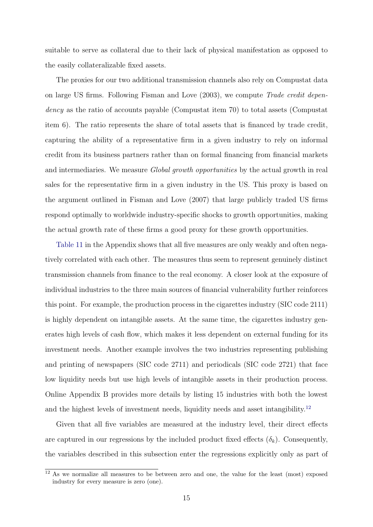suitable to serve as collateral due to their lack of physical manifestation as opposed to the easily collateralizable fixed assets.

The proxies for our two additional transmission channels also rely on Compustat data on large US firms. Following Fisman and Love (2003), we compute Trade credit dependency as the ratio of accounts payable (Compustat item 70) to total assets (Compustat item 6). The ratio represents the share of total assets that is financed by trade credit, capturing the ability of a representative firm in a given industry to rely on informal credit from its business partners rather than on formal financing from financial markets and intermediaries. We measure *Global growth opportunities* by the actual growth in real sales for the representative firm in a given industry in the US. This proxy is based on the argument outlined in Fisman and Love (2007) that large publicly traded US firms respond optimally to worldwide industry-specific shocks to growth opportunities, making the actual growth rate of these firms a good proxy for these growth opportunities.

[Table 11](#page-46-0) in the Appendix shows that all five measures are only weakly and often negatively correlated with each other. The measures thus seem to represent genuinely distinct transmission channels from finance to the real economy. A closer look at the exposure of individual industries to the three main sources of financial vulnerability further reinforces this point. For example, the production process in the cigarettes industry (SIC code 2111) is highly dependent on intangible assets. At the same time, the cigarettes industry generates high levels of cash flow, which makes it less dependent on external funding for its investment needs. Another example involves the two industries representing publishing and printing of newspapers (SIC code 2711) and periodicals (SIC code 2721) that face low liquidity needs but use high levels of intangible assets in their production process. Online Appendix B provides more details by listing 15 industries with both the lowest and the highest levels of investment needs, liquidity needs and asset intangibility.<sup>[12](#page-15-0)</sup>

Given that all five variables are measured at the industry level, their direct effects are captured in our regressions by the included product fixed effects  $(\delta_k)$ . Consequently, the variables described in this subsection enter the regressions explicitly only as part of

<span id="page-15-0"></span><sup>&</sup>lt;sup>12</sup> As we normalize all measures to be between zero and one, the value for the least (most) exposed industry for every measure is zero (one).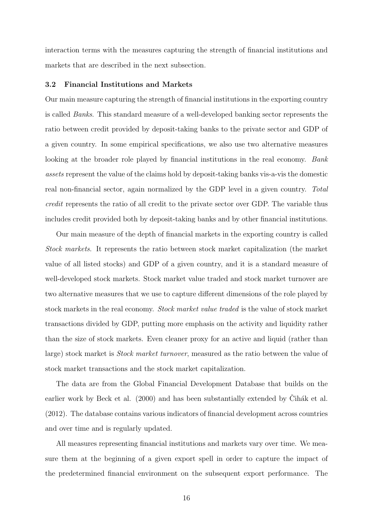interaction terms with the measures capturing the strength of financial institutions and markets that are described in the next subsection.

#### 3.2 Financial Institutions and Markets

Our main measure capturing the strength of financial institutions in the exporting country is called Banks. This standard measure of a well-developed banking sector represents the ratio between credit provided by deposit-taking banks to the private sector and GDP of a given country. In some empirical specifications, we also use two alternative measures looking at the broader role played by financial institutions in the real economy. Bank assets represent the value of the claims hold by deposit-taking banks vis-a-vis the domestic real non-financial sector, again normalized by the GDP level in a given country. Total credit represents the ratio of all credit to the private sector over GDP. The variable thus includes credit provided both by deposit-taking banks and by other financial institutions.

Our main measure of the depth of financial markets in the exporting country is called Stock markets. It represents the ratio between stock market capitalization (the market value of all listed stocks) and GDP of a given country, and it is a standard measure of well-developed stock markets. Stock market value traded and stock market turnover are two alternative measures that we use to capture different dimensions of the role played by stock markets in the real economy. Stock market value traded is the value of stock market transactions divided by GDP, putting more emphasis on the activity and liquidity rather than the size of stock markets. Even cleaner proxy for an active and liquid (rather than large) stock market is Stock market turnover, measured as the ratio between the value of stock market transactions and the stock market capitalization.

The data are from the Global Financial Development Database that builds on the earlier work by Beck et al.  $(2000)$  and has been substantially extended by Cihák et al. (2012). The database contains various indicators of financial development across countries and over time and is regularly updated.

All measures representing financial institutions and markets vary over time. We measure them at the beginning of a given export spell in order to capture the impact of the predetermined financial environment on the subsequent export performance. The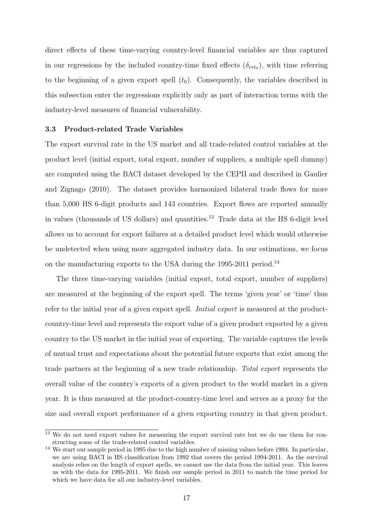direct effects of these time-varying country-level financial variables are thus captured in our regressions by the included country-time fixed effects  $(\delta_{c*t_0})$ , with time referring to the beginning of a given export spell  $(t_0)$ . Consequently, the variables described in this subsection enter the regressions explicitly only as part of interaction terms with the industry-level measures of financial vulnerability.

#### <span id="page-17-0"></span>3.3 Product-related Trade Variables

The export survival rate in the US market and all trade-related control variables at the product level (initial export, total export, number of suppliers, a multiple spell dummy) are computed using the BACI dataset developed by the CEPII and described in Gaulier and Zignago (2010). The dataset provides harmonized bilateral trade flows for more than 5,000 HS 6-digit products and 143 countries. Export flows are reported annually in values (thousands of US dollars) and quantities.[13](#page-17-1) Trade data at the HS 6-digit level allows us to account for export failures at a detailed product level which would otherwise be undetected when using more aggregated industry data. In our estimations, we focus on the manufacturing exports to the USA during the  $1995-2011$  period.<sup>[14](#page-17-2)</sup>

The three time-varying variables (initial export, total export, number of suppliers) are measured at the beginning of the export spell. The terms 'given year' or 'time' thus refer to the initial year of a given export spell. *Initial export* is measured at the productcountry-time level and represents the export value of a given product exported by a given country to the US market in the initial year of exporting. The variable captures the levels of mutual trust and expectations about the potential future exports that exist among the trade partners at the beginning of a new trade relationship. Total export represents the overall value of the country's exports of a given product to the world market in a given year. It is thus measured at the product-country-time level and serves as a proxy for the size and overall export performance of a given exporting country in that given product.

<span id="page-17-1"></span><sup>&</sup>lt;sup>13</sup> We do not need export values for measuring the export survival rate but we do use them for constructing some of the trade-related control variables.

<span id="page-17-2"></span><sup>14</sup> We start our sample period in 1995 due to the high number of missing values before 1994. In particular, we are using BACI in HS classification from 1992 that covers the period 1994-2011. As the survival analysis relies on the length of export spells, we cannot use the data from the initial year. This leaves us with the data for 1995-2011. We finish our sample period in 2011 to match the time period for which we have data for all our industry-level variables.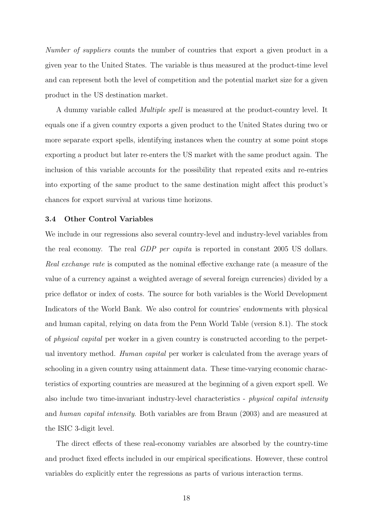Number of suppliers counts the number of countries that export a given product in a given year to the United States. The variable is thus measured at the product-time level and can represent both the level of competition and the potential market size for a given product in the US destination market.

A dummy variable called Multiple spell is measured at the product-country level. It equals one if a given country exports a given product to the United States during two or more separate export spells, identifying instances when the country at some point stops exporting a product but later re-enters the US market with the same product again. The inclusion of this variable accounts for the possibility that repeated exits and re-entries into exporting of the same product to the same destination might affect this product's chances for export survival at various time horizons.

#### 3.4 Other Control Variables

We include in our regressions also several country-level and industry-level variables from the real economy. The real GDP per capita is reported in constant 2005 US dollars. Real exchange rate is computed as the nominal effective exchange rate (a measure of the value of a currency against a weighted average of several foreign currencies) divided by a price deflator or index of costs. The source for both variables is the World Development Indicators of the World Bank. We also control for countries' endowments with physical and human capital, relying on data from the Penn World Table (version 8.1). The stock of physical capital per worker in a given country is constructed according to the perpetual inventory method. Human capital per worker is calculated from the average years of schooling in a given country using attainment data. These time-varying economic characteristics of exporting countries are measured at the beginning of a given export spell. We also include two time-invariant industry-level characteristics - physical capital intensity and human capital intensity. Both variables are from Braun (2003) and are measured at the ISIC 3-digit level.

The direct effects of these real-economy variables are absorbed by the country-time and product fixed effects included in our empirical specifications. However, these control variables do explicitly enter the regressions as parts of various interaction terms.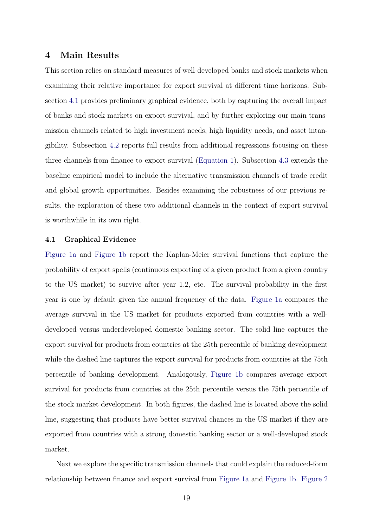## <span id="page-19-0"></span>4 Main Results

This section relies on standard measures of well-developed banks and stock markets when examining their relative importance for export survival at different time horizons. Subsection [4.1](#page-19-1) provides preliminary graphical evidence, both by capturing the overall impact of banks and stock markets on export survival, and by further exploring our main transmission channels related to high investment needs, high liquidity needs, and asset intangibility. Subsection [4.2](#page-21-0) reports full results from additional regressions focusing on these three channels from finance to export survival [\(Equation 1\)](#page-9-1). Subsection [4.3](#page-28-0) extends the baseline empirical model to include the alternative transmission channels of trade credit and global growth opportunities. Besides examining the robustness of our previous results, the exploration of these two additional channels in the context of export survival is worthwhile in its own right.

#### <span id="page-19-1"></span>4.1 Graphical Evidence

[Figure 1a](#page-20-0) and [Figure 1b](#page-20-0) report the Kaplan-Meier survival functions that capture the probability of export spells (continuous exporting of a given product from a given country to the US market) to survive after year 1,2, etc. The survival probability in the first year is one by default given the annual frequency of the data. [Figure 1a](#page-20-0) compares the average survival in the US market for products exported from countries with a welldeveloped versus underdeveloped domestic banking sector. The solid line captures the export survival for products from countries at the 25th percentile of banking development while the dashed line captures the export survival for products from countries at the 75th percentile of banking development. Analogously, [Figure 1b](#page-20-0) compares average export survival for products from countries at the 25th percentile versus the 75th percentile of the stock market development. In both figures, the dashed line is located above the solid line, suggesting that products have better survival chances in the US market if they are exported from countries with a strong domestic banking sector or a well-developed stock market.

Next we explore the specific transmission channels that could explain the reduced-form relationship between finance and export survival from [Figure 1a](#page-20-0) and [Figure 1b.](#page-20-0) [Figure 2](#page-21-1)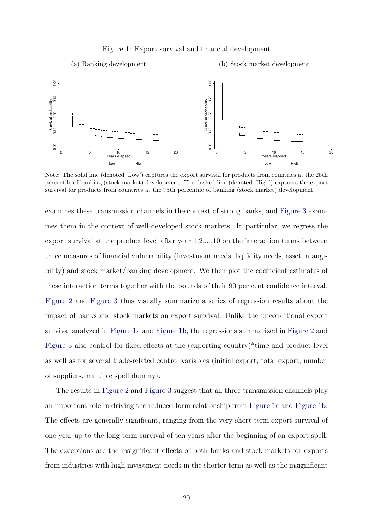#### Figure 1: Export survival and financial development

<span id="page-20-0"></span>

Note: The solid line (denoted 'Low') captures the export survival for products from countries at the 25th percentile of banking (stock market) development. The dashed line (denoted 'High') captures the export survival for products from countries at the 75th percentile of banking (stock market) development.

examines these transmission channels in the context of strong banks, and [Figure 3](#page-22-0) examines them in the context of well-developed stock markets. In particular, we regress the export survival at the product level after year 1,2,...,10 on the interaction terms between three measures of financial vulnerability (investment needs, liquidity needs, asset intangibility) and stock market/banking development. We then plot the coefficient estimates of these interaction terms together with the bounds of their 90 per cent confidence interval. [Figure 2](#page-21-1) and [Figure 3](#page-22-0) thus visually summarize a series of regression results about the impact of banks and stock markets on export survival. Unlike the unconditional export survival analyzed in [Figure 1a](#page-20-0) and [Figure 1b,](#page-20-0) the regressions summarized in [Figure 2](#page-21-1) and [Figure 3](#page-22-0) also control for fixed effects at the (exporting country)\*time and product level as well as for several trade-related control variables (initial export, total export, number of suppliers, multiple spell dummy).

The results in [Figure 2](#page-21-1) and [Figure 3](#page-22-0) suggest that all three transmission channels play an important role in driving the reduced-form relationship from [Figure 1a](#page-20-0) and [Figure 1b.](#page-20-0) The effects are generally significant, ranging from the very short-term export survival of one year up to the long-term survival of ten years after the beginning of an export spell. The exceptions are the insignificant effects of both banks and stock markets for exports from industries with high investment needs in the shorter term as well as the insignificant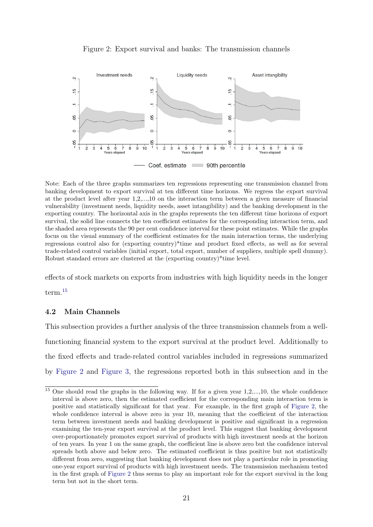<span id="page-21-1"></span>

Figure 2: Export survival and banks: The transmission channels

Note: Each of the three graphs summarizes ten regressions representing one transmission channel from banking development to export survival at ten different time horizons. We regress the export survival at the product level after year 1,2,...,10 on the interaction term between a given measure of financial vulnerability (investment needs, liquidity needs, asset intangibility) and the banking development in the exporting country. The horizontal axis in the graphs represents the ten different time horizons of export survival, the solid line connects the ten coefficient estimates for the corresponding interaction term, and the shaded area represents the 90 per cent confidence interval for these point estimates. While the graphs focus on the visual summary of the coefficient estimates for the main interaction terms, the underlying regressions control also for (exporting country)\*time and product fixed effects, as well as for several trade-related control variables (initial export, total export, number of suppliers, multiple spell dummy). Robust standard errors are clustered at the (exporting country)\*time level.

effects of stock markets on exports from industries with high liquidity needs in the longer

term.[15](#page-21-2)

## <span id="page-21-0"></span>4.2 Main Channels

This subsection provides a further analysis of the three transmission channels from a wellfunctioning financial system to the export survival at the product level. Additionally to the fixed effects and trade-related control variables included in regressions summarized by [Figure 2](#page-21-1) and [Figure 3,](#page-22-0) the regressions reported both in this subsection and in the

<span id="page-21-2"></span><sup>&</sup>lt;sup>15</sup> One should read the graphs in the following way. If for a given year 1,2,...,10, the whole confidence interval is above zero, then the estimated coefficient for the corresponding main interaction term is positive and statistically significant for that year. For example, in the first graph of [Figure 2,](#page-21-1) the whole confidence interval is above zero in year 10, meaning that the coefficient of the interaction term between investment needs and banking development is positive and significant in a regression examining the ten-year export survival at the product level. This suggest that banking development over-proportionately promotes export survival of products with high investment needs at the horizon of ten years. In year 1 on the same graph, the coefficient line is above zero but the confidence interval spreads both above and below zero. The estimated coefficient is thus positive but not statistically different from zero, suggesting that banking development does not play a particular role in promoting one-year export survival of products with high investment needs. The transmission mechanism tested in the first graph of [Figure 2](#page-21-1) thus seems to play an important role for the export survival in the long term but not in the short term.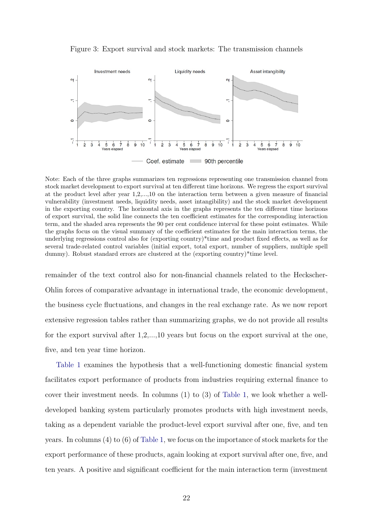<span id="page-22-0"></span>



Note: Each of the three graphs summarizes ten regressions representing one transmission channel from stock market development to export survival at ten different time horizons. We regress the export survival at the product level after year 1,2,...,10 on the interaction term between a given measure of financial vulnerability (investment needs, liquidity needs, asset intangibility) and the stock market development in the exporting country. The horizontal axis in the graphs represents the ten different time horizons of export survival, the solid line connects the ten coefficient estimates for the corresponding interaction term, and the shaded area represents the 90 per cent confidence interval for these point estimates. While the graphs focus on the visual summary of the coefficient estimates for the main interaction terms, the underlying regressions control also for (exporting country)\*time and product fixed effects, as well as for several trade-related control variables (initial export, total export, number of suppliers, multiple spell dummy). Robust standard errors are clustered at the (exporting country)\*time level.

remainder of the text control also for non-financial channels related to the Heckscher-Ohlin forces of comparative advantage in international trade, the economic development, the business cycle fluctuations, and changes in the real exchange rate. As we now report extensive regression tables rather than summarizing graphs, we do not provide all results for the export survival after 1,2,...,10 years but focus on the export survival at the one, five, and ten year time horizon.

[Table 1](#page-24-0) examines the hypothesis that a well-functioning domestic financial system facilitates export performance of products from industries requiring external finance to cover their investment needs. In columns (1) to (3) of [Table 1,](#page-24-0) we look whether a welldeveloped banking system particularly promotes products with high investment needs, taking as a dependent variable the product-level export survival after one, five, and ten years. In columns (4) to (6) of [Table 1,](#page-24-0) we focus on the importance of stock markets for the export performance of these products, again looking at export survival after one, five, and ten years. A positive and significant coefficient for the main interaction term (investment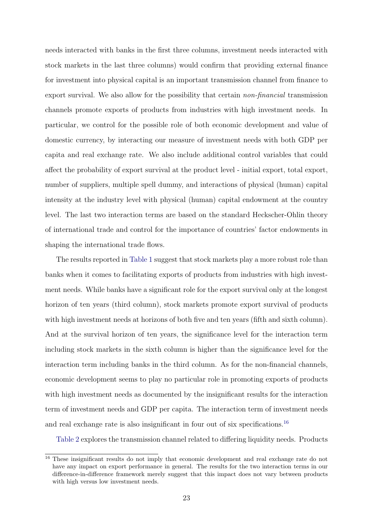needs interacted with banks in the first three columns, investment needs interacted with stock markets in the last three columns) would confirm that providing external finance for investment into physical capital is an important transmission channel from finance to export survival. We also allow for the possibility that certain non-financial transmission channels promote exports of products from industries with high investment needs. In particular, we control for the possible role of both economic development and value of domestic currency, by interacting our measure of investment needs with both GDP per capita and real exchange rate. We also include additional control variables that could affect the probability of export survival at the product level - initial export, total export, number of suppliers, multiple spell dummy, and interactions of physical (human) capital intensity at the industry level with physical (human) capital endowment at the country level. The last two interaction terms are based on the standard Heckscher-Ohlin theory of international trade and control for the importance of countries' factor endowments in shaping the international trade flows.

The results reported in [Table 1](#page-24-0) suggest that stock markets play a more robust role than banks when it comes to facilitating exports of products from industries with high investment needs. While banks have a significant role for the export survival only at the longest horizon of ten years (third column), stock markets promote export survival of products with high investment needs at horizons of both five and ten years (fifth and sixth column). And at the survival horizon of ten years, the significance level for the interaction term including stock markets in the sixth column is higher than the significance level for the interaction term including banks in the third column. As for the non-financial channels, economic development seems to play no particular role in promoting exports of products with high investment needs as documented by the insignificant results for the interaction term of investment needs and GDP per capita. The interaction term of investment needs and real exchange rate is also insignificant in four out of six specifications.<sup>[16](#page-23-0)</sup>

[Table 2](#page-26-0) explores the transmission channel related to differing liquidity needs. Products

<span id="page-23-0"></span><sup>16</sup> These insignificant results do not imply that economic development and real exchange rate do not have any impact on export performance in general. The results for the two interaction terms in our difference-in-difference framework merely suggest that this impact does not vary between products with high versus low investment needs.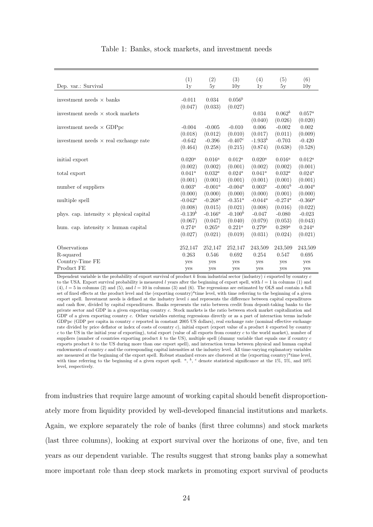<span id="page-24-0"></span>

|                                                | (1)        | (2)        | (3)        | (4)         | (5)        | (6)        |
|------------------------------------------------|------------|------------|------------|-------------|------------|------------|
| Dep. var.: Survival                            | 1y         | 5y         | 10y        | 1y          | 5y         | 10y        |
|                                                |            |            |            |             |            |            |
| investment needs $\times$ banks                | $-0.011$   | 0.034      | $0.056^b$  |             |            |            |
|                                                | (0.047)    | (0.033)    | (0.027)    |             |            |            |
| investment needs $\times$ stock markets        |            |            |            | 0.034       | $0.062^b$  | $0.057^a$  |
|                                                |            |            |            | (0.040)     | (0.026)    | (0.020)    |
| investment needs $\times$ GDPpc                | $-0.004$   | $-0.005$   | $-0.010$   | 0.006       | $-0.002$   | 0.002      |
|                                                | (0.018)    | (0.012)    | (0.010)    | (0.017)     | (0.011)    | (0.009)    |
| investment needs $\times$ real exchange rate   | $-0.642$   | $-0.396$   | $-0.407c$  | $-1.933b$   | $-0.703$   | $-0.420$   |
|                                                | (0.464)    | (0.258)    | (0.215)    | (0.874)     | (0.638)    | (0.528)    |
|                                                |            |            |            |             |            |            |
| initial export                                 | $0.020^a$  | $0.016^a$  | $0.012^a$  | $0.020^a$   | $0.016^a$  | $0.012^a$  |
|                                                | (0.002)    | (0.002)    | (0.001)    | (0.002)     | (0.002)    | (0.001)    |
| total export                                   | $0.041^a$  | $0.032^a$  | $0.024^a$  | $0.041^a$   | $0.032^a$  | $0.024^a$  |
|                                                | (0.001)    | (0.001)    | (0.001)    | (0.001)     | (0.001)    | (0.001)    |
| number of suppliers                            | $0.003^a$  | $-0.001^a$ | $-0.004^a$ | $0.003^{a}$ | $-0.001^b$ | $-0.004^a$ |
|                                                | (0.000)    | (0.000)    | (0.000)    | (0.000)     | (0.001)    | (0.000)    |
| multiple spell                                 | $-0.042^a$ | $-0.268^a$ | $-0.351^a$ | $-0.044^a$  | $-0.274^a$ | $-0.360^a$ |
|                                                | (0.008)    | (0.015)    | (0.021)    | (0.008)     | (0.016)    | (0.022)    |
| phys. cap. intensity $\times$ physical capital | $-0.139^b$ | $-0.166^a$ | $-0.100^b$ | $-0.047$    | $-0.080$   | $-0.023$   |
|                                                | (0.067)    | (0.047)    | (0.040)    | (0.079)     | (0.053)    | (0.043)    |
| hum. cap. intensity $\times$ human capital     | $0.274^a$  | $0.265^a$  | $0.221^a$  | $0.279^a$   | $0.289^a$  | $0.244^a$  |
|                                                | (0.027)    | (0.021)    | (0.019)    | (0.031)     | (0.024)    | (0.021)    |
|                                                |            |            |            |             |            |            |
| Observations                                   | 252,147    | 252,147    | 252,147    | 243,509     | 243,509    | 243,509    |
| R-squared                                      | 0.263      | 0.546      | 0.692      | 0.254       | 0.547      | 0.695      |
| Country-Time FE                                | yes        | yes        | yes        | yes         | yes        | yes        |
| Product FE                                     | yes        | yes        | yes        | yes         | yes        | yes        |

Table 1: Banks, stock markets, and investment needs

Dependent variable is the probability of export survival of product  $k$  from industrial sector (industry)  $i$  exported by country  $c$ to the USA. Export survival probability is measured l years after the beginning of export spell, with  $l = 1$  in columns (1) and  $(4)$ ,  $l = 5$  in columns  $(2)$  and  $(5)$ , and  $l = 10$  in columns  $(3)$  and  $(6)$ . The regressions are estimated by OLS and contain a full set of fixed effects at the product level and the (exporting country)\*time level, with time referring to the beginning of a given export spell. Investment needs is defined at the industry level  $i$  and represents the difference between capital expenditures and cash flow, divided by capital expenditures. Banks represents the ratio between credit from deposit-taking banks to the private sector and GDP in a given exporting country c. Stock markets is the ratio between stock market capitalization and GDP of a given exporting country c. Other variables entering regressions directly or as a part of interaction terms include GDPpc (GDP per capita in country c reported in constant 2005 US dollars), real exchange rate (nominal effective exchange rate divided by price deflator or index of costs of country c), initial export (export value of a product k exported by country c to the US in the initial year of exporting), total export (value of all exports from country c to the world market), number of suppliers (number of countries exporting product  $k$  to the US), multiple spell (dummy variable that equals one if country  $c$ exports product  $k$  to the US during more than one export spell), and interaction terms between physical and human capital endowments of country c and the corresponding capital intensities at the industry level. All time-varying explanatory variables are measured at the beginning of the export spell. Robust standard errors are clustered at the (exporting country)\*time level, with time referring to the beginning of a given export spell.  $a, b, c$  denote statistical significance at the 1%, 5%, and 10% level, respectively.

from industries that require large amount of working capital should benefit disproportionately more from liquidity provided by well-developed financial institutions and markets. Again, we explore separately the role of banks (first three columns) and stock markets (last three columns), looking at export survival over the horizons of one, five, and ten years as our dependent variable. The results suggest that strong banks play a somewhat more important role than deep stock markets in promoting export survival of products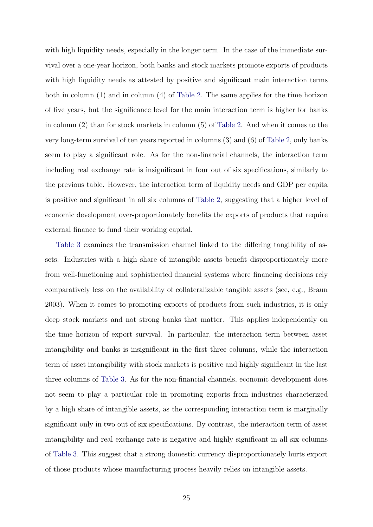with high liquidity needs, especially in the longer term. In the case of the immediate survival over a one-year horizon, both banks and stock markets promote exports of products with high liquidity needs as attested by positive and significant main interaction terms both in column (1) and in column (4) of [Table 2.](#page-26-0) The same applies for the time horizon of five years, but the significance level for the main interaction term is higher for banks in column (2) than for stock markets in column (5) of [Table 2.](#page-26-0) And when it comes to the very long-term survival of ten years reported in columns (3) and (6) of [Table 2,](#page-26-0) only banks seem to play a significant role. As for the non-financial channels, the interaction term including real exchange rate is insignificant in four out of six specifications, similarly to the previous table. However, the interaction term of liquidity needs and GDP per capita is positive and significant in all six columns of [Table 2,](#page-26-0) suggesting that a higher level of economic development over-proportionately benefits the exports of products that require external finance to fund their working capital.

[Table 3](#page-28-1) examines the transmission channel linked to the differing tangibility of assets. Industries with a high share of intangible assets benefit disproportionately more from well-functioning and sophisticated financial systems where financing decisions rely comparatively less on the availability of collateralizable tangible assets (see, e.g., Braun 2003). When it comes to promoting exports of products from such industries, it is only deep stock markets and not strong banks that matter. This applies independently on the time horizon of export survival. In particular, the interaction term between asset intangibility and banks is insignificant in the first three columns, while the interaction term of asset intangibility with stock markets is positive and highly significant in the last three columns of [Table 3.](#page-28-1) As for the non-financial channels, economic development does not seem to play a particular role in promoting exports from industries characterized by a high share of intangible assets, as the corresponding interaction term is marginally significant only in two out of six specifications. By contrast, the interaction term of asset intangibility and real exchange rate is negative and highly significant in all six columns of [Table 3.](#page-28-1) This suggest that a strong domestic currency disproportionately hurts export of those products whose manufacturing process heavily relies on intangible assets.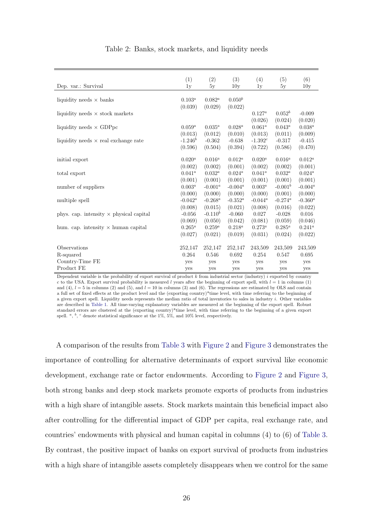<span id="page-26-0"></span>

|                                                | (1)         | (2)          | (3)         | (4)         | (5)        | (6)        |
|------------------------------------------------|-------------|--------------|-------------|-------------|------------|------------|
| Dep. var.: Survival                            | 1y          | 5y           | 10y         | 1y          | 5y         | 10y        |
|                                                |             |              |             |             |            |            |
| liquidity needs $\times$ banks                 | $0.103^{a}$ | $0.082^a$    | $0.050^{b}$ |             |            |            |
|                                                | (0.039)     | (0.029)      | (0.022)     |             |            |            |
| liquidity needs $\times$ stock markets         |             |              |             | $0.127^a$   | $0.052^b$  | $-0.009$   |
|                                                |             |              |             | (0.026)     | (0.024)    | (0.020)    |
| liquidity needs $\times$ GDPpc                 | $0.059^a$   | $0.035^a$    | $0.028^a$   | $0.061^a$   | $0.043^a$  | $0.038^a$  |
|                                                | (0.013)     | (0.012)      | (0.010)     | (0.013)     | (0.011)    | (0.009)    |
| liquidity needs $\times$ real exchange rate    | $-1.246^b$  | $-0.362$     | $-0.638$    | $-1.392c$   | $-0.317$   | $-0.415$   |
|                                                | (0.596)     | (0.504)      | (0.394)     | (0.722)     | (0.586)    | (0.470)    |
|                                                |             |              |             |             |            |            |
| initial export                                 | $0.020^a$   | $0.016^a$    | $0.012^a$   | $0.020^a$   | $0.016^a$  | $0.012^a$  |
|                                                | (0.002)     | (0.002)      | (0.001)     | (0.002)     | (0.002)    | (0.001)    |
| total export                                   | $0.041^a$   | $0.032^a$    | $0.024^a$   | $0.041^a$   | $0.032^a$  | $0.024^a$  |
|                                                | (0.001)     | (0.001)      | (0.001)     | (0.001)     | (0.001)    | (0.001)    |
| number of suppliers                            | $0.003^{a}$ | $-0.001^a$   | $-0.004^a$  | $0.003^{a}$ | $-0.001^b$ | $-0.004^a$ |
|                                                | (0.000)     | (0.000)      | (0.000)     | (0.000)     | (0.001)    | (0.000)    |
| multiple spell                                 | $-0.042^a$  | $-0.268^a$   | $-0.352^a$  | $-0.044^a$  | $-0.274^a$ | $-0.360^a$ |
|                                                | (0.008)     | (0.015)      | (0.021)     | (0.008)     | (0.016)    | (0.022)    |
| phys. cap. intensity $\times$ physical capital | $-0.056$    | $-0.110^{b}$ | $-0.060$    | 0.027       | $-0.028$   | 0.016      |
|                                                | (0.069)     | (0.050)      | (0.042)     | (0.081)     | (0.059)    | (0.046)    |
| hum. cap. intensity $\times$ human capital     | $0.265^a$   | $0.259^{a}$  | $0.218^a$   | $0.273^{a}$ | $0.285^a$  | $0.241^a$  |
|                                                | (0.027)     | (0.021)      | (0.019)     | (0.031)     | (0.024)    | (0.022)    |
|                                                |             |              |             |             |            |            |
| Observations                                   | 252,147     | 252,147      | 252,147     | 243,509     | 243,509    | 243,509    |
| R-squared                                      | 0.264       | 0.546        | 0.692       | 0.254       | 0.547      | 0.695      |
| Country-Time FE                                | yes         | yes          | yes         | yes         | yes        | yes        |
| Product FE                                     | yes         | yes          | yes         | yes         | yes        | yes        |

Table 2: Banks, stock markets, and liquidity needs

Dependent variable is the probability of export survival of product  $k$  from industrial sector (industry)  $i$  exported by country c to the USA. Export survival probability is measured l years after the beginning of export spell, with  $l = 1$  in columns (1) and  $(4)$ ,  $l = 5$  in columns  $(2)$  and  $(5)$ , and  $l = 10$  in columns  $(3)$  and  $(6)$ . The regressions are estimated by OLS and contain a full set of fixed effects at the product level and the (exporting country)\*time level, with time referring to the beginning of a given export spell. Liquidity needs represents the median ratio of total inventories to sales in industry i. Other variables are described in [Table 1.](#page-24-0) All time-varying explanatory variables are measured at the beginning of the export spell. Robust standard errors are clustered at the (exporting country)\*time level, with time referring to the beginning of a given export spell.  $a, b, c$  denote statistical significance at the 1%, 5%, and 10% level, respectively.

A comparison of the results from [Table 3](#page-28-1) with [Figure 2](#page-21-1) and [Figure 3](#page-22-0) demonstrates the importance of controlling for alternative determinants of export survival like economic development, exchange rate or factor endowments. According to [Figure 2](#page-21-1) and [Figure 3,](#page-22-0) both strong banks and deep stock markets promote exports of products from industries with a high share of intangible assets. Stock markets maintain this beneficial impact also after controlling for the differential impact of GDP per capita, real exchange rate, and countries' endowments with physical and human capital in columns (4) to (6) of [Table 3.](#page-28-1) By contrast, the positive impact of banks on export survival of products from industries with a high share of intangible assets completely disappears when we control for the same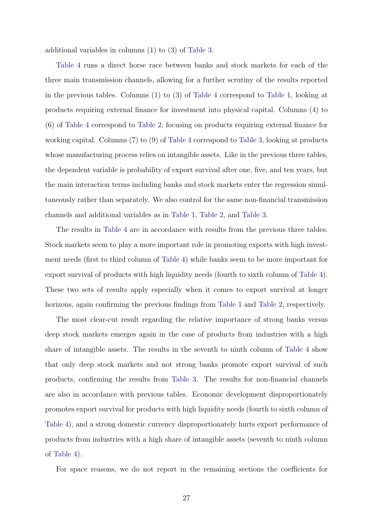additional variables in columns (1) to (3) of [Table 3.](#page-28-1)

[Table 4](#page-29-0) runs a direct horse race between banks and stock markets for each of the three main transmission channels, allowing for a further scrutiny of the results reported in the previous tables. Columns (1) to (3) of [Table 4](#page-29-0) correspond to [Table 1,](#page-24-0) looking at products requiring external finance for investment into physical capital. Columns (4) to (6) of [Table 4](#page-29-0) correspond to [Table 2,](#page-26-0) focusing on products requiring external finance for working capital. Columns (7) to (9) of [Table 4](#page-29-0) correspond to [Table 3,](#page-28-1) looking at products whose manufacturing process relies on intangible assets. Like in the previous three tables, the dependent variable is probability of export survival after one, five, and ten years, but the main interaction terms including banks and stock markets enter the regression simultaneously rather than separately. We also control for the same non-financial transmission channels and additional variables as in [Table 1,](#page-24-0) [Table 2,](#page-26-0) and [Table 3.](#page-28-1)

The results in [Table 4](#page-29-0) are in accordance with results from the previous three tables. Stock markets seem to play a more important role in promoting exports with high investment needs (first to third column of [Table 4\)](#page-29-0) while banks seem to be more important for export survival of products with high liquidity needs (fourth to sixth column of [Table 4\)](#page-29-0). These two sets of results apply especially when it comes to export survival at longer horizons, again confirming the previous findings from [Table 1](#page-24-0) and [Table 2,](#page-26-0) respectively.

The most clear-cut result regarding the relative importance of strong banks versus deep stock markets emerges again in the case of products from industries with a high share of intangible assets. The results in the seventh to ninth column of [Table 4](#page-29-0) show that only deep stock markets and not strong banks promote export survival of such products, confirming the results from [Table 3.](#page-28-1) The results for non-financial channels are also in accordance with previous tables. Economic development disproportionately promotes export survival for products with high liquidity needs (fourth to sixth column of [Table 4\)](#page-29-0), and a strong domestic currency disproportionately hurts export performance of products from industries with a high share of intangible assets (seventh to ninth column of [Table 4\)](#page-29-0).

For space reasons, we do not report in the remaining sections the coefficients for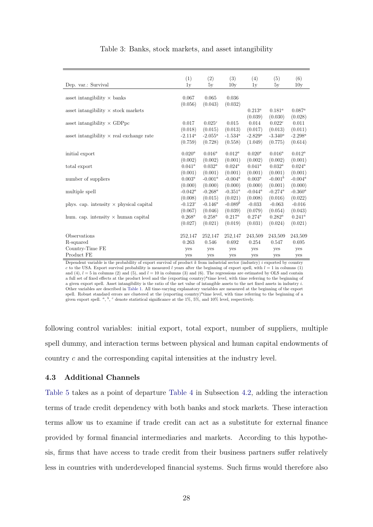<span id="page-28-1"></span>

| Dep. var.: Survival                             | (1)<br>1y        | (2)<br>5y        | (3)<br>10y       | (4)<br>1v  | (5)<br>5y   | (6)<br>10y  |
|-------------------------------------------------|------------------|------------------|------------------|------------|-------------|-------------|
|                                                 |                  |                  |                  |            |             |             |
| asset intangibility $\times$ banks              | 0.067<br>(0.056) | 0.065<br>(0.043) | 0.036<br>(0.032) |            |             |             |
| asset intangibility $\times$ stock markets      |                  |                  |                  | $0.213^a$  | $0.181^{a}$ | $0.087^{a}$ |
|                                                 |                  |                  |                  | (0.039)    | (0.030)     | (0.028)     |
| asset intangibility $\times$ GDPpc              | 0.017            | $0.025^{c}$      | 0.015            | 0.014      | $0.022^c$   | 0.011       |
|                                                 | (0.018)          | (0.015)          | (0.013)          | (0.017)    | (0.013)     | (0.011)     |
| asset intangibility $\times$ real exchange rate | $-2.114^a$       | $-2.055^a$       | $-1.534^a$       | $-2.829^a$ | $-3.340^a$  | $-2.298^a$  |
|                                                 | (0.759)          | (0.728)          | (0.558)          | (1.049)    | (0.775)     | (0.614)     |
| initial export                                  | $0.020^a$        | $0.016^a$        | $0.012^a$        | $0.020^a$  | $0.016^a$   | $0.012^a$   |
|                                                 | (0.002)          | (0.002)          | (0.001)          | (0.002)    | (0.002)     | (0.001)     |
| total export                                    | $0.041^a$        | $0.032^a$        | $0.024^a$        | $0.041^a$  | $0.032^a$   | $0.024^a$   |
|                                                 | (0.001)          | (0.001)          | (0.001)          | (0.001)    | (0.001)     | (0.001)     |
| number of suppliers                             | $0.003^a$        | $-0.001^a$       | $-0.004^a$       | $0.003^a$  | $-0.001^b$  | $-0.004^a$  |
|                                                 | (0.000)          | (0.000)          | (0.000)          | (0.000)    | (0.001)     | (0.000)     |
| multiple spell                                  | $-0.042^a$       | $-0.268^a$       | $-0.351^a$       | $-0.044^a$ | $-0.274^a$  | $-0.360^a$  |
|                                                 | (0.008)          | (0.015)          | (0.021)          | (0.008)    | (0.016)     | (0.022)     |
| phys. cap. intensity $\times$ physical capital  | $-0.123c$        | $-0.146^a$       | $-0.089^b$       | $-0.033$   | $-0.063$    | $-0.016$    |
|                                                 | (0.067)          | (0.046)          | (0.039)          | (0.079)    | (0.054)     | (0.043)     |
| hum. cap. intensity $\times$ human capital      | $0.268^a$        | $0.258^a$        | $0.217^a$        | $0.274^a$  | $0.282^a$   | $0.241^a$   |
|                                                 | (0.027)          | (0.021)          | (0.019)          | (0.031)    | (0.024)     | (0.021)     |
|                                                 |                  |                  |                  |            |             |             |
| Observations                                    | 252,147          | 252,147          | 252,147          | 243,509    | 243,509     | 243,509     |
| R-squared                                       | 0.263            | 0.546            | 0.692            | 0.254      | 0.547       | 0.695       |
| Country-Time FE                                 | yes              | yes              | yes              | yes        | yes         | yes         |
| Product FE                                      | yes              | yes              | yes              | yes        | yes         | yes         |

Table 3: Banks, stock markets, and asset intangibility

Dependent variable is the probability of export survival of product  $k$  from industrial sector (industry)  $i$  exported by country c to the USA. Export survival probability is measured l years after the beginning of export spell, with  $l = 1$  in columns (1) and (4),  $l = 5$  in columns (2) and (5), and  $l = 10$  in columns (3) and (6). The regressions are estimated by OLS and contain a full set of fixed effects at the product level and the (exporting country)\*time level, with time referring to the beginning of a given export spell. Asset intangibility is the ratio of the net value of intangible assets to the net fixed assets in industry i. Other variables are described in [Table 1.](#page-24-0) All time-varying explanatory variables are measured at the beginning of the export spell. Robust standard errors are clustered at the (exporting country)\*time level, with time referring to the beginning of a given export spell. <sup>a</sup>, <sup>b</sup>, <sup>c</sup> denote statistical significance at the 1%, 5%, and 10% level, respectively.

following control variables: initial export, total export, number of suppliers, multiple spell dummy, and interaction terms between physical and human capital endowments of country c and the corresponding capital intensities at the industry level.

#### <span id="page-28-0"></span>4.3 Additional Channels

[Table 5](#page-31-0) takes as a point of departure [Table 4](#page-29-0) in Subsection [4.2,](#page-21-0) adding the interaction terms of trade credit dependency with both banks and stock markets. These interaction terms allow us to examine if trade credit can act as a substitute for external finance provided by formal financial intermediaries and markets. According to this hypothesis, firms that have access to trade credit from their business partners suffer relatively less in countries with underdeveloped financial systems. Such firms would therefore also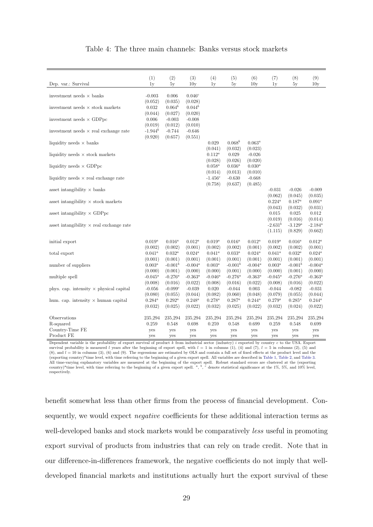| Table 4: The three main channels: Banks versus stock markets |  |  |
|--------------------------------------------------------------|--|--|
|--------------------------------------------------------------|--|--|

<span id="page-29-0"></span>

|                                                 | (1)                   | (2)                    | (3)                     | (4)                    | (5)                    | (6)                    | (7)                   | (8)                    | (9)                     |
|-------------------------------------------------|-----------------------|------------------------|-------------------------|------------------------|------------------------|------------------------|-----------------------|------------------------|-------------------------|
| Dep. var.: Survival                             | 1 <sub>V</sub>        | 5y                     | 10v                     | 1y                     | 5y                     | 10y                    | 1v                    | 5y                     | 10y                     |
| investment needs $\times$ banks                 | $-0.003$<br>(0.052)   | 0.006<br>(0.035)       | $0.046^{c}$<br>(0.028)  |                        |                        |                        |                       |                        |                         |
| investment needs $\times$ stock markets         | 0.032<br>(0.044)      | $0.064^{b}$<br>(0.027) | $0.044^{b}$<br>(0.020)  |                        |                        |                        |                       |                        |                         |
| investment needs $\times$ GDPpc                 | 0.006<br>(0.019)      | $-0.003$<br>(0.012)    | $-0.008$<br>(0.010)     |                        |                        |                        |                       |                        |                         |
| investment needs $\times$ real exchange rate    | $-1.944^b$<br>(0.920) | $-0.744$<br>(0.657)    | $-0.646$<br>(0.551)     |                        |                        |                        |                       |                        |                         |
| liquidity needs $\times$ banks                  |                       |                        |                         | 0.029<br>(0.041)       | $0.068^b$<br>(0.032)   | $0.063^a$<br>(0.023)   |                       |                        |                         |
| liquidity needs $\times$ stock markets          |                       |                        |                         | $0.112^a$<br>(0.028)   | 0.029<br>(0.026)       | $-0.026$<br>(0.020)    |                       |                        |                         |
| liquidity needs $\times$ GDPpc                  |                       |                        |                         | $0.058^a$<br>(0.014)   | $0.036^{a}$<br>(0.013) | $0.030^{a}$<br>(0.010) |                       |                        |                         |
| liquidity needs $\times$ real exchange rate     |                       |                        |                         | $-1.456c$<br>(0.758)   | $-0.630$<br>(0.637)    | $-0.668$<br>(0.485)    |                       |                        |                         |
| asset intangibility $\times$ banks              |                       |                        |                         |                        |                        |                        | $-0.031$<br>(0.062)   | $-0.026$<br>(0.045)    | $-0.009$<br>(0.035)     |
| asset intangibility $\times$ stock markets      |                       |                        |                         |                        |                        |                        | $0.224^a$<br>(0.043)  | $0.187^{a}$<br>(0.032) | $0.091^a$<br>(0.031)    |
| asset intangibility $\times$ GDPpc              |                       |                        |                         |                        |                        |                        | 0.015<br>(0.019)      | 0.025<br>(0.016)       | 0.012<br>(0.014)        |
| asset intangibility $\times$ real exchange rate |                       |                        |                         |                        |                        |                        | $-2.631^b$<br>(1.115) | $-3.129^a$<br>(0.829)  | $-2.184^{a}$<br>(0.662) |
| initial export                                  | $0.019^a$<br>(0.002)  | $0.016^{a}$<br>(0.002) | $0.012^a$<br>(0.001)    | $0.019^{a}$<br>(0.002) | $0.016^{a}$<br>(0.002) | $0.012^a$<br>(0.001)   | $0.019^a$<br>(0.002)  | $0.016^{a}$<br>(0.002) | $0.012^a$<br>(0.001)    |
| total export                                    | $0.041^a$<br>(0.001)  | $0.032^{a}$<br>(0.001) | $0.024^a$<br>(0.001)    | $0.041^a$<br>(0.001)   | $0.033^{a}$<br>(0.001) | $0.024^a$<br>(0.001)   | $0.041^a$<br>(0.001)  | $0.032^{a}$<br>(0.001) | $0.024^a$<br>(0.001)    |
| number of suppliers                             | $0.003^a$<br>(0.000)  | $-0.001^b$<br>(0.001)  | $-0.004^a$<br>(0.000)   | $0.003^{a}$<br>(0.000) | $-0.001^b$<br>(0.001)  | $-0.004^a$<br>(0.000)  | $0.003^a$<br>(0.000)  | $-0.001^b$<br>(0.001)  | $-0.004^a$<br>(0.000)   |
| multiple spell                                  | $-0.045^a$<br>(0.008) | $-0.276^a$<br>(0.016)  | $-0.363^{a}$<br>(0.022) | $-0.046^a$<br>(0.008)  | $-0.276^a$<br>(0.016)  | $-0.363^a$<br>(0.022)  | $-0.045^a$<br>(0.008) | $-0.276^a$<br>(0.016)  | $-0.363^{a}$<br>(0.022) |
| phys. cap. intensity $\times$ physical capital  | $-0.056$<br>(0.080)   | $-0.099c$<br>(0.055)   | $-0.039$<br>(0.044)     | 0.020<br>(0.082)       | $-0.044$<br>(0.060)    | 0.003<br>(0.048)       | $-0.044$<br>(0.079)   | $-0.082$<br>(0.055)    | $-0.031$<br>(0.044)     |
| hum. cap. intensity $\times$ human capital      | $0.284^a$<br>(0.032)  | $0.292^a$<br>(0.025)   | $0.248^a$<br>(0.022)    | $0.278^{a}$<br>(0.032) | $0.287^a$<br>(0.025)   | $0.244^a$<br>(0.022)   | $0.279^a$<br>(0.032)  | $0.285^a$<br>(0.024)   | $0.244^a$<br>(0.022)    |
| Observations                                    | 235,294               | 235,294                | 235,294                 | 235,294                | 235,294                | 235,294                | 235,294               | 235,294                | 235,294                 |
| R-squared                                       | 0.259                 | 0.548                  | 0.698                   | 0.259                  | 0.548                  | 0.699                  | 0.259                 | 0.548                  | 0.699                   |
| Country-Time FE<br>Product FE                   | yes<br>yes            | yes<br>yes             | yes<br>yes              | yes<br>yes             | yes<br>yes             | yes<br>yes             | yes<br>yes            | yes<br>yes             | yes<br>yes              |

Dependent variable is the probability of export survival of product  $k$  from industrial sector (industry)  $i$  exported by country  $c$  to the USA. Export survival probability is measured l years after the beginning of export spell, with  $l = 1$  in columns (1), (4) and (7),  $l = 5$  in columns (2), (5) and (8), and  $l = 10$  in columns (3), (6) and (9). The regressions are estimated by OLS and contain a full set of fixed effects at the product level and the (exporting country)\*time level, with time referring to the beginning of a given export spell. All variables are described in [Table 1,](#page-24-0) [Table 2,](#page-26-0) and [Table 3.](#page-28-1)<br>All time-varying explanatory variables are measured at the beginn respectively.

benefit somewhat less than other firms from the process of financial development. Consequently, we would expect negative coefficients for these additional interaction terms as well-developed banks and stock markets would be comparatively *less* useful in promoting export survival of products from industries that can rely on trade credit. Note that in our difference-in-differences framework, the negative coefficients do not imply that welldeveloped financial markets and institutions actually hurt the export survival of these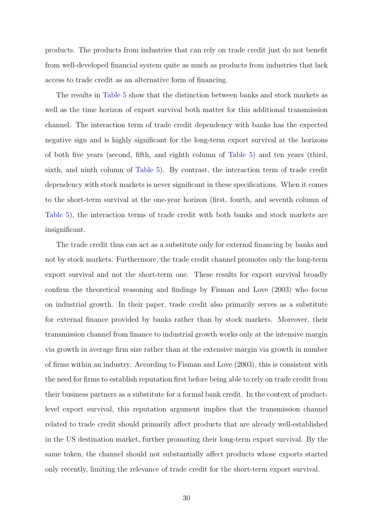products. The products from industries that can rely on trade credit just do not benefit from well-developed financial system quite as much as products from industries that lack access to trade credit as an alternative form of financing.

The results in [Table 5](#page-31-0) show that the distinction between banks and stock markets as well as the time horizon of export survival both matter for this additional transmission channel. The interaction term of trade credit dependency with banks has the expected negative sign and is highly significant for the long-term export survival at the horizons of both five years (second, fifth, and eighth column of [Table 5\)](#page-31-0) and ten years (third, sixth, and ninth column of [Table 5\)](#page-31-0). By contrast, the interaction term of trade credit dependency with stock markets is never significant in these specifications. When it comes to the short-term survival at the one-year horizon (first, fourth, and seventh column of [Table 5\)](#page-31-0), the interaction terms of trade credit with both banks and stock markets are insignificant.

The trade credit thus can act as a substitute only for external financing by banks and not by stock markets. Furthermore, the trade credit channel promotes only the long-term export survival and not the short-term one. These results for export survival broadly confirm the theoretical reasoning and findings by Fisman and Love (2003) who focus on industrial growth. In their paper, trade credit also primarily serves as a substitute for external finance provided by banks rather than by stock markets. Moreover, their transmission channel from finance to industrial growth works only at the intensive margin via growth in average firm size rather than at the extensive margin via growth in number of firms within an industry. According to Fisman and Love (2003), this is consistent with the need for firms to establish reputation first before being able to rely on trade credit from their business partners as a substitute for a formal bank credit. In the context of productlevel export survival, this reputation argument implies that the transmission channel related to trade credit should primarily affect products that are already well-established in the US destination market, further promoting their long-term export survival. By the same token, the channel should not substantially affect products whose exports started only recently, limiting the relevance of trade credit for the short-term export survival.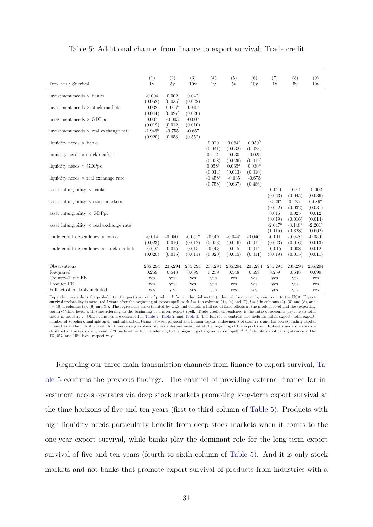<span id="page-31-0"></span>

| Table 5: Additional channel from finance to export survival: Trade credit |  |  |  |  |  |  |  |  |
|---------------------------------------------------------------------------|--|--|--|--|--|--|--|--|
|---------------------------------------------------------------------------|--|--|--|--|--|--|--|--|

|                                                 | (1)                   | (2)                   | (3)                   | (4)                  | (5)                   | (6)                    | (7)                   | (8)                    | (9)                    |
|-------------------------------------------------|-----------------------|-----------------------|-----------------------|----------------------|-----------------------|------------------------|-----------------------|------------------------|------------------------|
| Dep. var.: Survival                             | 1 <sub>V</sub>        | 5y                    | 10y                   | 1y                   | 5y                    | 10y                    | 1y                    | 5y                     | 10y                    |
| investment needs $\times$ banks                 | $-0.004$<br>(0.052)   | 0.002<br>(0.035)      | 0.042<br>(0.028)      |                      |                       |                        |                       |                        |                        |
| investment needs $\times$ stock markets         | 0.032<br>(0.044)      | $0.065^b$<br>(0.027)  | $0.045^b$<br>(0.020)  |                      |                       |                        |                       |                        |                        |
| investment needs $\times$ GDPpc                 | 0.007<br>(0.019)      | $-0.003$<br>(0.012)   | $-0.007$<br>(0.010)   |                      |                       |                        |                       |                        |                        |
| investment needs $\times$ real exchange rate    | $-1.949^b$<br>(0.920) | $-0.755$<br>(0.658)   | $-0.657$<br>(0.552)   |                      |                       |                        |                       |                        |                        |
| liquidity needs $\times$ banks                  |                       |                       |                       | 0.029<br>(0.041)     | $0.064^b$<br>(0.032)  | $0.059^b$<br>(0.023)   |                       |                        |                        |
| liquidity needs $\times$ stock markets          |                       |                       |                       | $0.112^a$<br>(0.028) | 0.030<br>(0.026)      | $-0.025$<br>(0.019)    |                       |                        |                        |
| liquidity needs $\times$ GDPpc                  |                       |                       |                       | $0.058^a$<br>(0.014) | $0.035^a$<br>(0.013)  | $0.030^{a}$<br>(0.010) |                       |                        |                        |
| liquidity needs $\times$ real exchange rate     |                       |                       |                       | $-1.458c$<br>(0.758) | $-0.635$<br>(0.637)   | $-0.673$<br>(0.486)    |                       |                        |                        |
| asset intangibility $\times$ banks              |                       |                       |                       |                      |                       |                        | $-0.029$<br>(0.063)   | $-0.019$<br>(0.045)    | $-0.002$<br>(0.036)    |
| asset intangibility $\times$ stock markets      |                       |                       |                       |                      |                       |                        | $0.226^a$<br>(0.042)  | $0.185^{a}$<br>(0.032) | $0.089^{a}$<br>(0.031) |
| asset intangibility $\times$ GDPpc              |                       |                       |                       |                      |                       |                        | 0.015<br>(0.019)      | 0.025<br>(0.016)       | 0.012<br>(0.014)       |
| asset intangibility $\times$ real exchange rate |                       |                       |                       |                      |                       |                        | $-2.647^b$<br>(1.115) | $-3.148^a$<br>(0.828)  | $-2.201^a$<br>(0.662)  |
| trade credit dependency $\times$ banks          | $-0.014$<br>(0.023)   | $-0.050^a$<br>(0.016) | $-0.051^a$<br>(0.012) | $-0.007$<br>(0.023)  | $-0.044^a$<br>(0.016) | $-0.046^a$<br>(0.012)  | $-0.011$<br>(0.023)   | $-0.048^a$<br>(0.016)  | $-0.050^a$<br>(0.013)  |
| trade credit dependency $\times$ stock markets  | $-0.007$<br>(0.020)   | 0.015<br>(0.015)      | 0.015<br>(0.011)      | $-0.003$<br>(0.020)  | 0.015<br>(0.015)      | 0.014<br>(0.011)       | $-0.015$<br>(0.019)   | 0.008<br>(0.015)       | 0.012<br>(0.011)       |
| Observations                                    | 235,294               | 235,294               | 235,294               | 235,294              | 235,294               | 235,294                | 235,294               | 235,294                | 235,294                |
| R-squared                                       | 0.259                 | 0.548                 | 0.699                 | 0.259                | 0.548                 | 0.699                  | 0.259                 | 0.548                  | 0.699                  |
| Country-Time FE                                 | yes                   | yes                   | yes                   | yes                  | yes                   | yes                    | yes                   | yes                    | yes                    |
| Product FE                                      | yes                   | yes                   | yes                   | yes                  | yes                   | yes                    | yes                   | yes                    | yes                    |
| Full set of controls included                   | <b>ves</b>            | yes                   | yes                   | yes                  | yes                   | yes                    | yes                   | yes                    | yes                    |

Dependent variable is the probability of export survival of product  $k$  from industrial sector (industry)  $i$  exported by country  $c$  to the USA. Export survival probability is measured l years after the beginning of export spell, with  $l = 1$  in columns (1), (4) and (7),  $l = 5$  in columns (2), (5) and (8), and  $l = 10$  in columns (3), (6) and (9). The regressions are estimated by OLS and contain a full set of fixed effects at the product level and the (exporting country)\*time level, with time referring to the beginning of a given export spell. Trade credit dependency is the ratio of accounts payable to total<br>assets in industry i. Other variables are described in [Table 1,](#page-24-0) [Table 2,](#page-26-0) number of suppliers, multiple spell, and interaction terms between physical and human capital endowments of country <sup>c</sup> and the corresponding capital intensities at the industry level. All time-varying explanatory variables are measured at the beginning of the export spell. Robust standard errors are clustered at the (exporting country)\*time level, with time referring 1%, 5%, and 10% level, respectively.

Regarding our three main transmission channels from finance to export survival, [Ta](#page-31-0)[ble 5](#page-31-0) confirms the previous findings. The channel of providing external finance for investment needs operates via deep stock markets promoting long-term export survival at the time horizons of five and ten years (first to third column of [Table 5\)](#page-31-0). Products with high liquidity needs particularly benefit from deep stock markets when it comes to the one-year export survival, while banks play the dominant role for the long-term export survival of five and ten years (fourth to sixth column of [Table 5\)](#page-31-0). And it is only stock markets and not banks that promote export survival of products from industries with a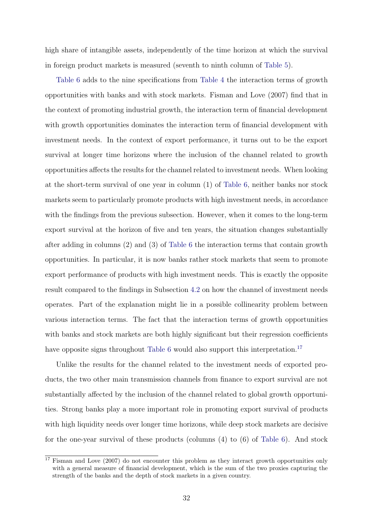high share of intangible assets, independently of the time horizon at which the survival in foreign product markets is measured (seventh to ninth column of [Table 5\)](#page-31-0).

[Table 6](#page-33-1) adds to the nine specifications from [Table 4](#page-29-0) the interaction terms of growth opportunities with banks and with stock markets. Fisman and Love (2007) find that in the context of promoting industrial growth, the interaction term of financial development with growth opportunities dominates the interaction term of financial development with investment needs. In the context of export performance, it turns out to be the export survival at longer time horizons where the inclusion of the channel related to growth opportunities affects the results for the channel related to investment needs. When looking at the short-term survival of one year in column (1) of [Table 6,](#page-33-1) neither banks nor stock markets seem to particularly promote products with high investment needs, in accordance with the findings from the previous subsection. However, when it comes to the long-term export survival at the horizon of five and ten years, the situation changes substantially after adding in columns (2) and (3) of [Table 6](#page-33-1) the interaction terms that contain growth opportunities. In particular, it is now banks rather stock markets that seem to promote export performance of products with high investment needs. This is exactly the opposite result compared to the findings in Subsection [4.2](#page-21-0) on how the channel of investment needs operates. Part of the explanation might lie in a possible collinearity problem between various interaction terms. The fact that the interaction terms of growth opportunities with banks and stock markets are both highly significant but their regression coefficients have opposite signs throughout [Table 6](#page-33-1) would also support this interpretation.<sup>[17](#page-32-0)</sup>

Unlike the results for the channel related to the investment needs of exported products, the two other main transmission channels from finance to export survival are not substantially affected by the inclusion of the channel related to global growth opportunities. Strong banks play a more important role in promoting export survival of products with high liquidity needs over longer time horizons, while deep stock markets are decisive for the one-year survival of these products (columns (4) to (6) of [Table 6\)](#page-33-1). And stock

<span id="page-32-0"></span><sup>&</sup>lt;sup>17</sup> Fisman and Love (2007) do not encounter this problem as they interact growth opportunities only with a general measure of financial development, which is the sum of the two proxies capturing the strength of the banks and the depth of stock markets in a given country.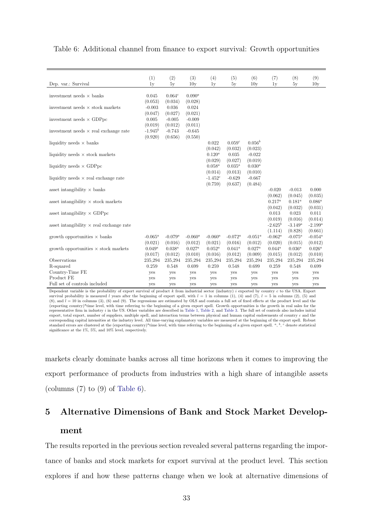| Dep. var.: Survival                                                              | (1)<br>1 <sub>V</sub> | (2)<br>5y              | (3)<br>10v           | (4)<br>1v               | (5)<br>5y              | (6)<br>10v             | (7)<br>1v                        | (8)<br>5v                          | (9)<br>10y                      |
|----------------------------------------------------------------------------------|-----------------------|------------------------|----------------------|-------------------------|------------------------|------------------------|----------------------------------|------------------------------------|---------------------------------|
| investment needs $\times$ banks                                                  | 0.045<br>(0.053)      | $0.064^{c}$<br>(0.034) | $0.090^a$<br>(0.028) |                         |                        |                        |                                  |                                    |                                 |
| investment needs $\times$ stock markets                                          | $-0.003$<br>(0.047)   | 0.036<br>(0.027)       | 0.024<br>(0.021)     |                         |                        |                        |                                  |                                    |                                 |
| investment needs $\times$ GDPpc                                                  | 0.005<br>(0.019)      | $-0.005$<br>(0.012)    | $-0.009$<br>(0.011)  |                         |                        |                        |                                  |                                    |                                 |
| investment needs $\times$ real exchange rate                                     | $-1.945^b$<br>(0.920) | $-0.743$<br>(0.656)    | $-0.645$<br>(0.550)  |                         |                        |                        |                                  |                                    |                                 |
| liquidity needs $\times$ banks                                                   |                       |                        |                      | 0.022<br>(0.042)        | 0.059c<br>(0.032)      | $0.056^b$<br>(0.023)   |                                  |                                    |                                 |
| liquidity needs $\times$ stock markets                                           |                       |                        |                      | $0.120^a$<br>(0.029)    | 0.035<br>(0.027)       | $-0.022$<br>(0.019)    |                                  |                                    |                                 |
| liquidity needs $\times$ GDPpc                                                   |                       |                        |                      | $0.058^a$<br>(0.014)    | $0.035^{a}$<br>(0.013) | $0.030^{a}$<br>(0.010) |                                  |                                    |                                 |
| liquidity needs $\times$ real exchange rate                                      |                       |                        |                      | $-1.452^{c}$<br>(0.759) | $-0.629$<br>(0.637)    | $-0.667$<br>(0.484)    |                                  |                                    |                                 |
| asset intangibility $\times$ banks<br>asset intangibility $\times$ stock markets |                       |                        |                      |                         |                        |                        | $-0.020$<br>(0.062)<br>$0.217^a$ | $-0.013$<br>(0.045)<br>$0.181^{a}$ | 0.000<br>(0.035)<br>$0.086^{a}$ |
| asset intangibility $\times$ GDPpc                                               |                       |                        |                      |                         |                        |                        | (0.042)<br>0.013                 | (0.032)<br>0.023                   | (0.031)<br>0.011                |
| asset intangibility $\times$ real exchange rate                                  |                       |                        |                      |                         |                        |                        | (0.019)<br>$-2.625^b$            | (0.016)<br>$-3.149^a$              | (0.014)<br>$-2.199^a$           |
| growth opportunities $\times$ banks                                              | $-0.065^a$            | $-0.079^a$             | $-0.060^a$           | $-0.060^a$              | $-0.072^a$             | $-0.051^a$             | (1.114)<br>$-0.062^a$            | (0.828)<br>$-0.075^a$              | (0.661)<br>$-0.054^a$           |
| growth opportunities $\times$ stock markets                                      | (0.021)<br>$0.049^a$  | (0.016)<br>$0.038^{a}$ | (0.012)<br>$0.027^a$ | (0.021)<br>$0.052^a$    | (0.016)<br>$0.041^a$   | (0.012)<br>$0.027^a$   | (0.020)<br>$0.044^a$             | (0.015)<br>$0.036^{a}$             | (0.012)<br>$0.026^{a}$          |
| Observations                                                                     | (0.017)<br>235,294    | (0.012)<br>235,294     | (0.010)<br>235,294   | (0.016)<br>235,294      | (0.012)<br>235,294     | (0.009)<br>235,294     | (0.015)<br>235,294               | (0.012)<br>235,294                 | (0.010)<br>235,294              |
| R-squared                                                                        | 0.259                 | 0.548                  | 0.699                | 0.259                   | 0.548                  | 0.699                  | 0.259                            | 0.548                              | 0.699                           |
| Country-Time FE                                                                  | yes                   | yes                    | yes                  | yes                     | yes                    | yes                    | yes                              | yes                                | yes                             |
| Product FE                                                                       | yes                   | yes                    | yes                  | yes                     | yes                    | yes                    | yes                              | yes                                | yes                             |
| Full set of controls included                                                    | <b>ves</b>            | yes                    | yes                  | yes                     | yes                    | yes                    | yes                              | yes                                | yes                             |

<span id="page-33-1"></span>Table 6: Additional channel from finance to export survival: Growth opportunities

Dependent variable is the probability of export survival of product <sup>k</sup> from industrial sector (industry) <sup>i</sup> exported by country <sup>c</sup> to the USA. Export survival probability is measured *l* years after the beginning of export spell, with  $l = 1$  in columns (1), (4) and (7),  $l = 5$  in columns (2), (5) and (8), and  $l = 10$  in columns (3), (6) and (9). The regressions are est  $(\text{exporting country})$ <sup>\*</sup>time level, with time referring to the beginning of a given export spell. Growth opportunities is the growth in real sales for the  $(\text{exporting columns})$ <sup>+</sup> time level, with time referring to the beginning of a given exp representative firm in industry <sup>i</sup> in the US. Other variables are described in [Table 1,](#page-24-0) [Table 2,](#page-26-0) and [Table 3.](#page-28-1) The full set of controls also includes initial  $\alpha$  export, total export, number of suppliers, multiple spell, and interaction terms between physical and human capital endowments of country  $c$  and the corresponding capital intensities at the industry level. All timestandard errors are clustered at the (exporting country)\*time level, with time referring to the beginning of a given export spell.  $a, b, c$  denote statistical significance at the 1%, 5%, and 10% level, respectively.

markets clearly dominate banks across all time horizons when it comes to improving the export performance of products from industries with a high share of intangible assets (columns  $(7)$  to  $(9)$  of [Table 6\)](#page-33-1).

## <span id="page-33-0"></span>5 Alternative Dimensions of Bank and Stock Market Develop-

#### ment

The results reported in the previous section revealed several patterns regarding the importance of banks and stock markets for export survival at the product level. This section explores if and how these patterns change when we look at alternative dimensions of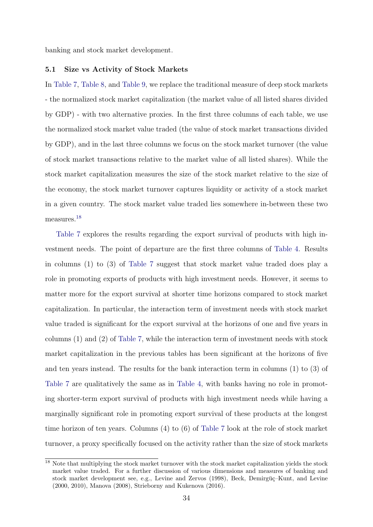banking and stock market development.

#### 5.1 Size vs Activity of Stock Markets

In [Table 7,](#page-35-0) [Table 8,](#page-36-0) and [Table 9,](#page-37-0) we replace the traditional measure of deep stock markets - the normalized stock market capitalization (the market value of all listed shares divided by GDP) - with two alternative proxies. In the first three columns of each table, we use the normalized stock market value traded (the value of stock market transactions divided by GDP), and in the last three columns we focus on the stock market turnover (the value of stock market transactions relative to the market value of all listed shares). While the stock market capitalization measures the size of the stock market relative to the size of the economy, the stock market turnover captures liquidity or activity of a stock market in a given country. The stock market value traded lies somewhere in-between these two measures.[18](#page-34-0)

[Table 7](#page-35-0) explores the results regarding the export survival of products with high investment needs. The point of departure are the first three columns of [Table 4.](#page-29-0) Results in columns (1) to (3) of [Table 7](#page-35-0) suggest that stock market value traded does play a role in promoting exports of products with high investment needs. However, it seems to matter more for the export survival at shorter time horizons compared to stock market capitalization. In particular, the interaction term of investment needs with stock market value traded is significant for the export survival at the horizons of one and five years in columns (1) and (2) of [Table 7,](#page-35-0) while the interaction term of investment needs with stock market capitalization in the previous tables has been significant at the horizons of five and ten years instead. The results for the bank interaction term in columns (1) to (3) of [Table 7](#page-35-0) are qualitatively the same as in [Table 4,](#page-29-0) with banks having no role in promoting shorter-term export survival of products with high investment needs while having a marginally significant role in promoting export survival of these products at the longest time horizon of ten years. Columns (4) to (6) of [Table 7](#page-35-0) look at the role of stock market turnover, a proxy specifically focused on the activity rather than the size of stock markets

<span id="page-34-0"></span><sup>&</sup>lt;sup>18</sup> Note that multiplying the stock market turnover with the stock market capitalization yields the stock market value traded. For a further discussion of various dimensions and measures of banking and stock market development see, e.g., Levine and Zervos (1998), Beck, Demirgüç–Kunt, and Levine (2000, 2010), Manova (2008), Strieborny and Kukenova (2016).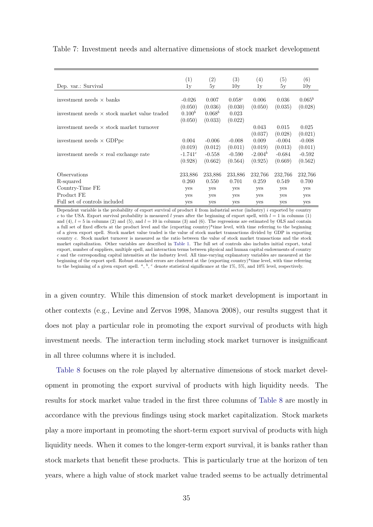| Dep. var.: Survival                                 | (1)<br>1v              | (2)<br>5y            | (3)<br>10v          | $\left(4\right)$<br>1v | $\left( 5\right)$<br>5y | (6)<br>10y          |
|-----------------------------------------------------|------------------------|----------------------|---------------------|------------------------|-------------------------|---------------------|
| investment needs $\times$ banks                     | $-0.026$               | 0.007                | $0.058^{c}$         | 0.006                  | 0.036                   | $0.065^b$           |
| investment needs $\times$ stock market value traded | (0.050)<br>$0.100^{b}$ | (0.036)<br>$0.068^b$ | (0.030)<br>0.023    | (0.050)                | (0.035)                 | (0.028)             |
|                                                     | (0.050)                | (0.033)              | (0.022)             |                        |                         |                     |
| investment needs $\times$ stock market turnover     |                        |                      |                     | 0.043<br>(0.037)       | 0.015<br>(0.028)        | 0.025<br>(0.021)    |
| investment needs $\times$ GDPpc                     | 0.004                  | $-0.006$             | $-0.008$            | 0.009                  | $-0.004$                | $-0.008$            |
| investment needs $\times$ real exchange rate        | (0.019)<br>$-1.741c$   | (0.012)<br>$-0.558$  | (0.011)<br>$-0.590$ | (0.019)<br>$-2.004b$   | (0.013)<br>$-0.684$     | (0.011)<br>$-0.592$ |
|                                                     | (0.928)                | (0.662)              | (0.564)             | (0.925)                | (0.669)                 | (0.562)             |
| Observations                                        | 233,886                | 233,886              | 233,886             | 232,766                | 232,766                 | 232,766             |
| R-squared                                           | 0.260                  | 0.550                | 0.701               | 0.259                  | 0.549                   | 0.700               |
| Country-Time FE                                     | yes                    | yes                  | yes                 | yes                    | yes                     | yes                 |
| Product FE                                          | yes                    | yes                  | yes                 | yes                    | yes                     | yes                 |
| Full set of controls included                       | yes                    | yes                  | yes                 | yes                    | yes                     | yes                 |

<span id="page-35-0"></span>Table 7: Investment needs and alternative dimensions of stock market development

Dependent variable is the probability of export survival of product  $k$  from industrial sector (industry) i exported by country c to the USA. Export survival probability is measured l years after the beginning of export spell, with  $l = 1$  in columns (1) and (4),  $l = 5$  in columns (2) and (5), and  $l = 10$  in columns (3) and (6). The regressions are estimated by OLS and contain a full set of fixed effects at the product level and the (exporting country)\*time level, with time referring to the beginning of a given export spell. Stock market value traded is the value of stock market transactions divided by GDP in exporting country c. Stock market turnover is measured as the ratio between the value of stock market transactions and the stock market capitalization. Other variables are described in [Table 1.](#page-24-0) The full set of controls also includes initial export, total export, number of suppliers, multiple spell, and interaction terms between physical and human capital endowments of country c and the corresponding capital intensities at the industry level. All time-varying explanatory variables are measured at the beginning of the export spell. Robust standard errors are clustered at the (exporting country)\*time level, with time referring to the beginning of a given export spell.  $a, b, c$  denote statistical significance at the 1%, 5%, and 10% level, respectively.

in a given country. While this dimension of stock market development is important in other contexts (e.g., Levine and Zervos 1998, Manova 2008), our results suggest that it does not play a particular role in promoting the export survival of products with high investment needs. The interaction term including stock market turnover is insignificant in all three columns where it is included.

[Table 8](#page-36-0) focuses on the role played by alternative dimensions of stock market development in promoting the export survival of products with high liquidity needs. The results for stock market value traded in the first three columns of [Table 8](#page-36-0) are mostly in accordance with the previous findings using stock market capitalization. Stock markets play a more important in promoting the short-term export survival of products with high liquidity needs. When it comes to the longer-term export survival, it is banks rather than stock markets that benefit these products. This is particularly true at the horizon of ten years, where a high value of stock market value traded seems to be actually detrimental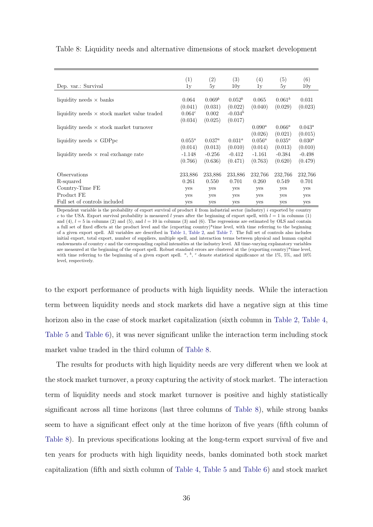|                                                    | (1)                | $\left( 2\right)$ | (3)         | (4)       | $\left( 5\right)$ | (6)         |
|----------------------------------------------------|--------------------|-------------------|-------------|-----------|-------------------|-------------|
| Dep. var.: Survival                                | 1y                 | 5y                | 10y         | 1y        | 5y                | 10y         |
|                                                    |                    |                   |             |           |                   |             |
| liquidity needs $\times$ banks                     | 0.064              | $0.069^b$         | $0.052^{b}$ | 0.065     | $0.061^b$         | 0.031       |
|                                                    | (0.041)            | (0.031)           | (0.022)     | (0.040)   | (0.029)           | (0.023)     |
| liquidity needs $\times$ stock market value traded | 0.064 <sup>c</sup> | 0.002             | $-0.034^b$  |           |                   |             |
|                                                    | (0.034)            | (0.025)           | (0.017)     |           |                   |             |
| liquidity needs $\times$ stock market turnover     |                    |                   |             | $0.090^a$ | $0.066^a$         | $0.043^a$   |
|                                                    |                    |                   |             | (0.026)   | (0.021)           | (0.015)     |
| liquidity needs $\times$ GDPpc                     | $0.055^a$          | $0.037^a$         | $0.031^a$   | $0.056^a$ | $0.035^a$         | $0.030^{a}$ |
|                                                    | (0.014)            | (0.013)           | (0.010)     | (0.014)   | (0.013)           | (0.010)     |
| liquidity needs $\times$ real exchange rate        | $-1.148$           | $-0.256$          | $-0.412$    | $-1.161$  | $-0.384$          | $-0.498$    |
|                                                    | (0.766)            | (0.636)           | (0.471)     | (0.763)   | (0.620)           | (0.479)     |
|                                                    |                    |                   |             |           |                   |             |
| Observations                                       | 233,886            | 233,886           | 233,886     | 232,766   | 232,766           | 232,766     |
| R-squared                                          | 0.261              | 0.550             | 0.701       | 0.260     | 0.549             | 0.701       |
| Country-Time FE                                    | yes                | yes               | yes         | yes       | yes               | yes         |
| Product FE                                         | yes                | yes               | yes         | yes       | yes               | yes         |
| Full set of controls included                      | yes                | yes               | yes         | yes       | yes               | yes         |

<span id="page-36-0"></span>Table 8: Liquidity needs and alternative dimensions of stock market development

Dependent variable is the probability of export survival of product  $k$  from industrial sector (industry) i exported by country c to the USA. Export survival probability is measured l years after the beginning of export spell, with  $l = 1$  in columns (1) and (4),  $l = 5$  in columns (2) and (5), and  $l = 10$  in columns (3) and (6). The regressions are estimated by OLS and contain a full set of fixed effects at the product level and the (exporting country)\*time level, with time referring to the beginning of a given export spell. All variables are described in [Table 1,](#page-24-0) [Table 2,](#page-26-0) and [Table 7.](#page-35-0) The full set of controls also includes initial export, total export, number of suppliers, multiple spell, and interaction terms between physical and human capital endowments of country c and the corresponding capital intensities at the industry level. All time-varying explanatory variables are measured at the beginning of the export spell. Robust standard errors are clustered at the (exporting country)\*time level, with time referring to the beginning of a given export spell.  $a, b, c$  denote statistical significance at the 1%, 5%, and 10% level, respectively.

to the export performance of products with high liquidity needs. While the interaction term between liquidity needs and stock markets did have a negative sign at this time horizon also in the case of stock market capitalization (sixth column in [Table 2,](#page-26-0) [Table 4,](#page-29-0) [Table 5](#page-31-0) and [Table 6\)](#page-33-1), it was never significant unlike the interaction term including stock market value traded in the third column of [Table 8.](#page-36-0)

The results for products with high liquidity needs are very different when we look at the stock market turnover, a proxy capturing the activity of stock market. The interaction term of liquidity needs and stock market turnover is positive and highly statistically significant across all time horizons (last three columns of [Table 8\)](#page-36-0), while strong banks seem to have a significant effect only at the time horizon of five years (fifth column of [Table 8\)](#page-36-0). In previous specifications looking at the long-term export survival of five and ten years for products with high liquidity needs, banks dominated both stock market capitalization (fifth and sixth column of [Table 4,](#page-29-0) [Table 5](#page-31-0) and [Table 6\)](#page-33-1) and stock market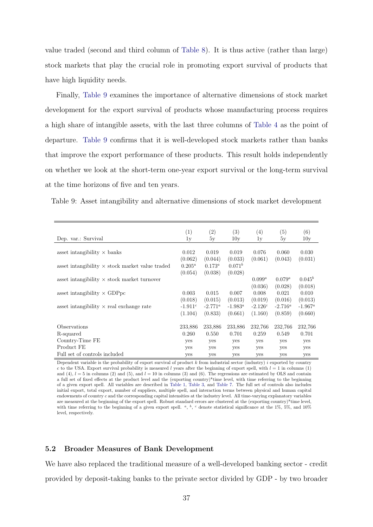value traded (second and third column of [Table 8\)](#page-36-0). It is thus active (rather than large) stock markets that play the crucial role in promoting export survival of products that have high liquidity needs.

Finally, [Table 9](#page-37-0) examines the importance of alternative dimensions of stock market development for the export survival of products whose manufacturing process requires a high share of intangible assets, with the last three columns of [Table 4](#page-29-0) as the point of departure. [Table 9](#page-37-0) confirms that it is well-developed stock markets rather than banks that improve the export performance of these products. This result holds independently on whether we look at the short-term one-year export survival or the long-term survival at the time horizons of five and ten years.

<span id="page-37-0"></span>Table 9: Asset intangibility and alternative dimensions of stock market development

|                                                        | (1)        | (2)        | (3)         | (4)       | (5)        | (6)         |
|--------------------------------------------------------|------------|------------|-------------|-----------|------------|-------------|
| Dep. var.: Survival                                    | 1v         | 5y         | 10v         | 1v        | 5y         | 10y         |
|                                                        |            |            |             |           |            |             |
| asset intangibility $\times$ banks                     | 0.012      | 0.019      | 0.019       | 0.076     | 0.060      | 0.030       |
|                                                        | (0.062)    | (0.044)    | (0.033)     | (0.061)   | (0.043)    | (0.031)     |
| asset intangibility $\times$ stock market value traded | $0.205^a$  | $0.173^a$  | $0.071^{b}$ |           |            |             |
|                                                        | (0.054)    | (0.038)    | (0.028)     |           |            |             |
| asset intangibility $\times$ stock market turnover     |            |            |             | $0.099^a$ | $0.079^a$  | $0.045^{b}$ |
|                                                        |            |            |             | (0.036)   | (0.028)    | (0.018)     |
| asset intangibility $\times$ GDPpc                     | 0.003      | 0.015      | 0.007       | 0.008     | 0.021      | 0.010       |
|                                                        | (0.018)    | (0.015)    | (0.013)     | (0.019)   | (0.016)    | (0.013)     |
| asset intangibility $\times$ real exchange rate        | $-1.911^c$ | $-2.771^a$ | $-1.983^a$  | $-2.126c$ | $-2.716^a$ | $-1.967^a$  |
|                                                        | (1.104)    | (0.833)    | (0.661)     | (1.160)   | (0.859)    | (0.660)     |
|                                                        |            |            |             |           |            |             |
| Observations                                           | 233,886    | 233,886    | 233,886     | 232,766   | 232,766    | 232,766     |
| R-squared                                              | 0.260      | 0.550      | 0.701       | 0.259     | 0.549      | 0.701       |
| Country-Time FE                                        | yes        | yes        | yes         | yes       | yes        | yes         |
| Product FE                                             | yes        | yes        | yes         | yes       | yes        | yes         |
| Full set of controls included                          | yes        | yes        | yes         | yes       | yes        | yes         |

Dependent variable is the probability of export survival of product  $k$  from industrial sector (industry)  $i$  exported by country c to the USA. Export survival probability is measured l years after the beginning of export spell, with  $l = 1$  in columns (1) and  $(4)$ ,  $l = 5$  in columns  $(2)$  and  $(5)$ , and  $l = 10$  in columns  $(3)$  and  $(6)$ . The regressions are estimated by OLS and contain a full set of fixed effects at the product level and the (exporting country)\*time level, with time referring to the beginning of a given export spell. All variables are described in [Table 1,](#page-24-0) [Table 3,](#page-28-1) and [Table 7.](#page-35-0) The full set of controls also includes initial export, total export, number of suppliers, multiple spell, and interaction terms between physical and human capital endowments of country c and the corresponding capital intensities at the industry level. All time-varying explanatory variables are measured at the beginning of the export spell. Robust standard errors are clustered at the (exporting country)\*time level, with time referring to the beginning of a given export spell.  $a, b, c$  denote statistical significance at the 1%, 5%, and 10% level, respectively.

#### 5.2 Broader Measures of Bank Development

We have also replaced the traditional measure of a well-developed banking sector - credit provided by deposit-taking banks to the private sector divided by GDP - by two broader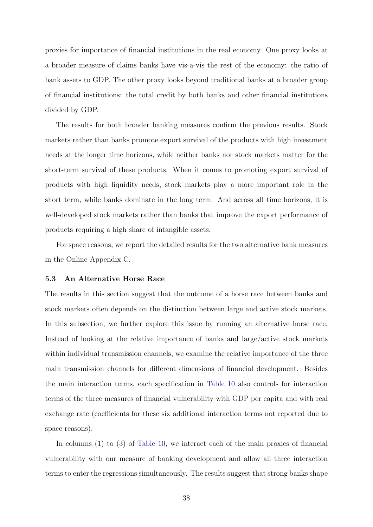proxies for importance of financial institutions in the real economy. One proxy looks at a broader measure of claims banks have vis-a-vis the rest of the economy: the ratio of bank assets to GDP. The other proxy looks beyond traditional banks at a broader group of financial institutions: the total credit by both banks and other financial institutions divided by GDP.

The results for both broader banking measures confirm the previous results. Stock markets rather than banks promote export survival of the products with high investment needs at the longer time horizons, while neither banks nor stock markets matter for the short-term survival of these products. When it comes to promoting export survival of products with high liquidity needs, stock markets play a more important role in the short term, while banks dominate in the long term. And across all time horizons, it is well-developed stock markets rather than banks that improve the export performance of products requiring a high share of intangible assets.

For space reasons, we report the detailed results for the two alternative bank measures in the Online Appendix C.

#### 5.3 An Alternative Horse Race

The results in this section suggest that the outcome of a horse race between banks and stock markets often depends on the distinction between large and active stock markets. In this subsection, we further explore this issue by running an alternative horse race. Instead of looking at the relative importance of banks and large/active stock markets within individual transmission channels, we examine the relative importance of the three main transmission channels for different dimensions of financial development. Besides the main interaction terms, each specification in [Table 10](#page-39-0) also controls for interaction terms of the three measures of financial vulnerability with GDP per capita and with real exchange rate (coefficients for these six additional interaction terms not reported due to space reasons).

In columns (1) to (3) of [Table 10,](#page-39-0) we interact each of the main proxies of financial vulnerability with our measure of banking development and allow all three interaction terms to enter the regressions simultaneously. The results suggest that strong banks shape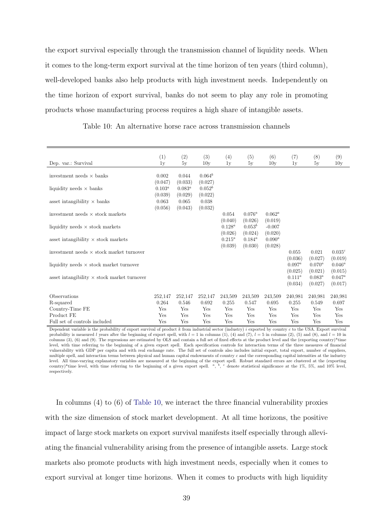the export survival especially through the transmission channel of liquidity needs. When it comes to the long-term export survival at the time horizon of ten years (third column), well-developed banks also help products with high investment needs. Independently on the time horizon of export survival, banks do not seem to play any role in promoting products whose manufacturing process requires a high share of intangible assets.

<span id="page-39-0"></span>

|                                                    | (1)                  | (2)                    | (3)                  | (4)                  | (5)                    | (6)                  | (7)                  | (8)                    | (9)                  |
|----------------------------------------------------|----------------------|------------------------|----------------------|----------------------|------------------------|----------------------|----------------------|------------------------|----------------------|
| Dep. var.: Survival                                | 1y                   | 5y                     | 10y                  | 1y                   | 5y                     | 10y                  | 1y                   | 5y                     | 10y                  |
| investment needs $\times$ banks                    | 0.002<br>(0.047)     | 0.044<br>(0.033)       | $0.064^b$<br>(0.027) |                      |                        |                      |                      |                        |                      |
| liquidity needs $\times$ banks                     | $0.103^a$<br>(0.039) | $0.083^{a}$<br>(0.029) | $0.052^b$<br>(0.022) |                      |                        |                      |                      |                        |                      |
| asset intangibility $\times$ banks                 | 0.063<br>(0.056)     | 0.065<br>(0.043)       | 0.038<br>(0.032)     |                      |                        |                      |                      |                        |                      |
| investment needs $\times$ stock markets            |                      |                        |                      | 0.054<br>(0.040)     | $0.076^a$<br>(0.026)   | $0.062^a$<br>(0.019) |                      |                        |                      |
| liquidity needs $\times$ stock markets             |                      |                        |                      | $0.128^a$<br>(0.026) | $0.053^b$<br>(0.024)   | $-0.007$<br>(0.020)  |                      |                        |                      |
| asset intangibility $\times$ stock markets         |                      |                        |                      | $0.215^a$<br>(0.039) | $0.184^{a}$<br>(0.030) | $0.090^a$<br>(0.028) |                      |                        |                      |
| investment needs $\times$ stock market turnover    |                      |                        |                      |                      |                        |                      | 0.055<br>(0.036)     | 0.021<br>(0.027)       | $0.035^c$<br>(0.019) |
| liquidity needs $\times$ stock market turnover     |                      |                        |                      |                      |                        |                      | $0.097^a$<br>(0.025) | $0.070^{a}$<br>(0.021) | $0.046^a$<br>(0.015) |
| asset intangibility $\times$ stock market turnover |                      |                        |                      |                      |                        |                      | $0.111^a$<br>(0.034) | $0.083^{a}$<br>(0.027) | $0.047^a$<br>(0.017) |
| Observations                                       | 252,147              | 252,147                | 252,147              | 243,509              | 243,509                | 243,509              | 240,981              | 240,981                | 240,981              |
| R-squared                                          | 0.264                | 0.546                  | 0.692                | 0.255                | 0.547                  | 0.695                | 0.255                | 0.549                  | 0.697                |
| Country-Time FE                                    | Yes                  | Yes                    | Yes                  | Yes                  | Yes                    | Yes                  | Yes                  | Yes                    | Yes                  |
| Product FE                                         | Yes                  | Yes                    | Yes                  | Yes                  | Yes                    | Yes                  | Yes                  | Yes                    | Yes                  |
| Full set of controls included                      | Yes                  | Yes                    | Yes                  | Yes                  | Yes                    | Yes                  | Yes                  | Yes                    | Yes                  |

Table 10: An alternative horse race across transmission channels

Dependent variable is the probability of export survival of product  $k$  from industrial sector (industry)  $i$  exported by country  $c$  to the USA. Export survival probability is measured l years after the beginning of export spell, with  $l = 1$  in columns (1), (4) and (7),  $l = 5$  in columns (2), (5) and (8), and  $l = 10$  in columns  $(3)$ ,  $(6)$  and  $(9)$ . The regressions are estimated by OLS and contain a full set of fixed effects at the product level and the (exporting country)\*time level, with time referring to the beginning of a given export spell. Each specification controls for interaction terms of the three measures of financial vulnerability with GDP per capita and with real exchange rate. The full set of controls also includes initial export, total export, number of suppliers, multiple spell, and interaction terms between physical and human capital endowments of country c and the corresponding capital intensities at the industry level. All time-varying explanatory variables are measured at the beginning of the export spell. Robust standard errors are clustered at the (exporting country)\*time level, with time referring to the beginning of a given export spell.  $a, b, c$  denote statistical significance at the 1%, 5%, and 10% level, respectively.

In columns (4) to (6) of [Table 10,](#page-39-0) we interact the three financial vulnerability proxies with the size dimension of stock market development. At all time horizons, the positive impact of large stock markets on export survival manifests itself especially through alleviating the financial vulnerability arising from the presence of intangible assets. Large stock markets also promote products with high investment needs, especially when it comes to export survival at longer time horizons. When it comes to products with high liquidity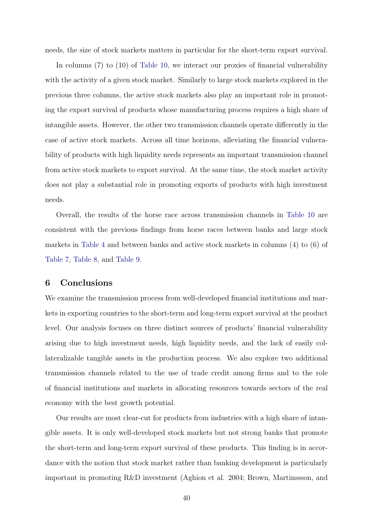needs, the size of stock markets matters in particular for the short-term export survival.

In columns (7) to (10) of [Table 10,](#page-39-0) we interact our proxies of financial vulnerability with the activity of a given stock market. Similarly to large stock markets explored in the previous three columns, the active stock markets also play an important role in promoting the export survival of products whose manufacturing process requires a high share of intangible assets. However, the other two transmission channels operate differently in the case of active stock markets. Across all time horizons, alleviating the financial vulnerability of products with high liquidity needs represents an important transmission channel from active stock markets to export survival. At the same time, the stock market activity does not play a substantial role in promoting exports of products with high investment needs.

Overall, the results of the horse race across transmission channels in [Table 10](#page-39-0) are consistent with the previous findings from horse races between banks and large stock markets in [Table 4](#page-29-0) and between banks and active stock markets in columns (4) to (6) of [Table 7,](#page-35-0) [Table 8,](#page-36-0) and [Table 9.](#page-37-0)

## <span id="page-40-0"></span>6 Conclusions

We examine the transmission process from well-developed financial institutions and markets in exporting countries to the short-term and long-term export survival at the product level. Our analysis focuses on three distinct sources of products' financial vulnerability arising due to high investment needs, high liquidity needs, and the lack of easily collateralizable tangible assets in the production process. We also explore two additional transmission channels related to the use of trade credit among firms and to the role of financial institutions and markets in allocating resources towards sectors of the real economy with the best growth potential.

Our results are most clear-cut for products from industries with a high share of intangible assets. It is only well-developed stock markets but not strong banks that promote the short-term and long-term export survival of these products. This finding is in accordance with the notion that stock market rather than banking development is particularly important in promoting R&D investment (Aghion et al. 2004; Brown, Martinssson, and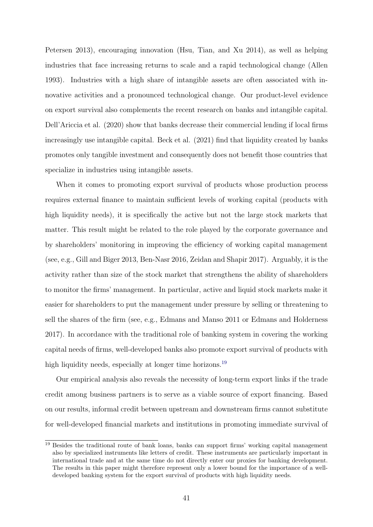Petersen 2013), encouraging innovation (Hsu, Tian, and Xu 2014), as well as helping industries that face increasing returns to scale and a rapid technological change (Allen 1993). Industries with a high share of intangible assets are often associated with innovative activities and a pronounced technological change. Our product-level evidence on export survival also complements the recent research on banks and intangible capital. Dell'Ariccia et al. (2020) show that banks decrease their commercial lending if local firms increasingly use intangible capital. Beck et al. (2021) find that liquidity created by banks promotes only tangible investment and consequently does not benefit those countries that specialize in industries using intangible assets.

When it comes to promoting export survival of products whose production process requires external finance to maintain sufficient levels of working capital (products with high liquidity needs), it is specifically the active but not the large stock markets that matter. This result might be related to the role played by the corporate governance and by shareholders' monitoring in improving the efficiency of working capital management (see, e.g., Gill and Biger 2013, Ben-Nasr 2016, Zeidan and Shapir 2017). Arguably, it is the activity rather than size of the stock market that strengthens the ability of shareholders to monitor the firms' management. In particular, active and liquid stock markets make it easier for shareholders to put the management under pressure by selling or threatening to sell the shares of the firm (see, e.g., Edmans and Manso 2011 or Edmans and Holderness 2017). In accordance with the traditional role of banking system in covering the working capital needs of firms, well-developed banks also promote export survival of products with high liquidity needs, especially at longer time horizons.<sup>[19](#page-41-0)</sup>

Our empirical analysis also reveals the necessity of long-term export links if the trade credit among business partners is to serve as a viable source of export financing. Based on our results, informal credit between upstream and downstream firms cannot substitute for well-developed financial markets and institutions in promoting immediate survival of

<span id="page-41-0"></span><sup>&</sup>lt;sup>19</sup> Besides the traditional route of bank loans, banks can support firms' working capital management also by specialized instruments like letters of credit. These instruments are particularly important in international trade and at the same time do not directly enter our proxies for banking development. The results in this paper might therefore represent only a lower bound for the importance of a welldeveloped banking system for the export survival of products with high liquidity needs.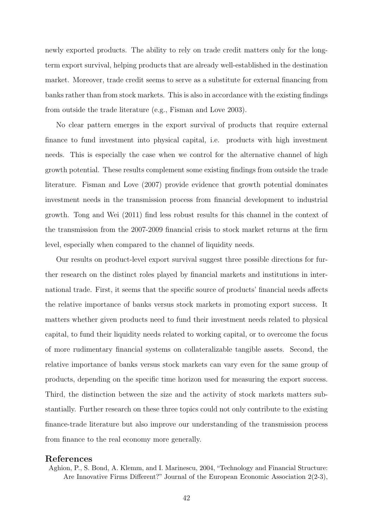newly exported products. The ability to rely on trade credit matters only for the longterm export survival, helping products that are already well-established in the destination market. Moreover, trade credit seems to serve as a substitute for external financing from banks rather than from stock markets. This is also in accordance with the existing findings from outside the trade literature (e.g., Fisman and Love 2003).

No clear pattern emerges in the export survival of products that require external finance to fund investment into physical capital, i.e. products with high investment needs. This is especially the case when we control for the alternative channel of high growth potential. These results complement some existing findings from outside the trade literature. Fisman and Love (2007) provide evidence that growth potential dominates investment needs in the transmission process from financial development to industrial growth. Tong and Wei (2011) find less robust results for this channel in the context of the transmission from the 2007-2009 financial crisis to stock market returns at the firm level, especially when compared to the channel of liquidity needs.

Our results on product-level export survival suggest three possible directions for further research on the distinct roles played by financial markets and institutions in international trade. First, it seems that the specific source of products' financial needs affects the relative importance of banks versus stock markets in promoting export success. It matters whether given products need to fund their investment needs related to physical capital, to fund their liquidity needs related to working capital, or to overcome the focus of more rudimentary financial systems on collateralizable tangible assets. Second, the relative importance of banks versus stock markets can vary even for the same group of products, depending on the specific time horizon used for measuring the export success. Third, the distinction between the size and the activity of stock markets matters substantially. Further research on these three topics could not only contribute to the existing finance-trade literature but also improve our understanding of the transmission process from finance to the real economy more generally.

#### References

Aghion, P., S. Bond, A. Klemm, and I. Marinescu, 2004, "Technology and Financial Structure: Are Innovative Firms Different?" Journal of the European Economic Association 2(2-3),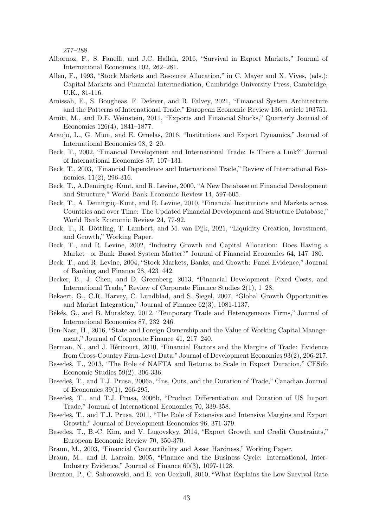277–288.

- Albornoz, F., S. Fanelli, and J.C. Hallak, 2016, "Survival in Export Markets," Journal of International Economics 102, 262–281.
- Allen, F., 1993, "Stock Markets and Resource Allocation," in C. Mayer and X. Vives, (eds.): Capital Markets and Financial Intermediation, Cambridge University Press, Cambridge, U.K., 81-116.
- Amissah, E., S. Bougheas, F. Defever, and R. Falvey, 2021, "Financial System Architecture and the Patterns of International Trade," European Economic Review 136, article 103751.
- Amiti, M., and D.E. Weinstein, 2011, "Exports and Financial Shocks," Quarterly Journal of Economics 126(4), 1841–1877.
- Araujo, L., G. Mion, and E. Ornelas, 2016, "Institutions and Export Dynamics," Journal of International Economics 98, 2–20.
- Beck, T., 2002, "Financial Development and International Trade: Is There a Link?" Journal of International Economics 57, 107–131.
- Beck, T., 2003, "Financial Dependence and International Trade," Review of International Economics, 11(2), 296-316.
- Beck, T., A.Demirgüç–Kunt, and R. Levine, 2000, "A New Database on Financial Development and Structure," World Bank Economic Review 14, 597-605.
- Beck, T., A. Demirgüç–Kunt, and R. Levine, 2010, "Financial Institutions and Markets across Countries and over Time: The Updated Financial Development and Structure Database," World Bank Economic Review 24, 77-92.
- Beck, T., R. Döttling, T. Lambert, and M. van Dijk, 2021, "Liquidity Creation, Investment, and Growth," Working Paper.
- Beck, T., and R. Levine, 2002, "Industry Growth and Capital Allocation: Does Having a Market– or Bank–Based System Matter?" Journal of Financial Economics 64, 147–180.
- Beck, T., and R. Levine, 2004, "Stock Markets, Banks, and Growth: Panel Evidence," Journal of Banking and Finance 28, 423–442.
- Becker, B., J. Chen, and D. Greenberg, 2013, "Financial Development, Fixed Costs, and International Trade," Review of Corporate Finance Studies 2(1), 1–28.
- Bekaert, G., C.R. Harvey, C. Lundblad, and S. Siegel, 2007, "Global Growth Opportunities and Market Integration," Journal of Finance 62(3), 1081-1137.
- Békés, G., and B. Muraközy, 2012, "Temporary Trade and Heterogeneous Firms," Journal of International Economics 87, 232–246.
- Ben-Nasr, H., 2016, "State and Foreign Ownership and the Value of Working Capital Management," Journal of Corporate Finance 41, 217–240.
- Berman, N., and J. Héricourt, 2010, "Financial Factors and the Margins of Trade: Evidence from Cross-Country Firm-Level Data," Journal of Development Economics 93(2), 206-217.
- Besedeš, T., 2013, "The Role of NAFTA and Returns to Scale in Export Duration," CESifo Economic Studies 59(2), 306-336.
- Besedeš, T., and T.J. Prusa, 2006a, "Ins, Outs, and the Duration of Trade," Canadian Journal of Economics 39(1), 266-295.
- Besedeš, T., and T.J. Prusa, 2006b, "Product Differentiation and Duration of US Import Trade," Journal of International Economics 70, 339-358.
- Besedeš, T., and T.J. Prusa, 2011, "The Role of Extensive and Intensive Margins and Export Growth," Journal of Development Economics 96, 371-379.
- Besedeš, T., B.-C. Kim, and V. Lugovskyy, 2014, "Export Growth and Credit Constraints," European Economic Review 70, 350-370.
- Braun, M., 2003, "Financial Contractibility and Asset Hardness," Working Paper.
- Braun, M., and B. Larrain, 2005, "Finance and the Business Cycle: International, Inter-Industry Evidence," Journal of Finance 60(3), 1097-1128.
- Brenton, P., C. Saborowski, and E. von Uexkull, 2010, "What Explains the Low Survival Rate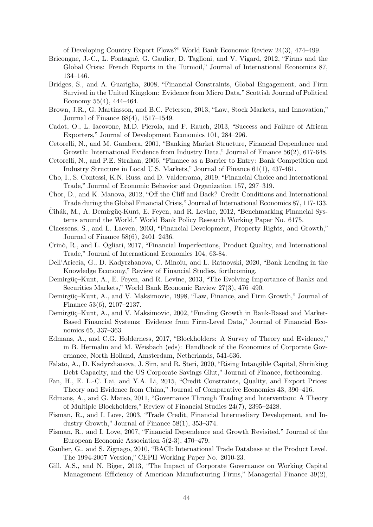of Developing Country Export Flows?" World Bank Economic Review 24(3), 474–499.

- Bricongne, J.-C., L. Fontagné, G. Gaulier, D. Taglioni, and V. Vigard, 2012, "Firms and the Global Crisis: French Exports in the Turmoil," Journal of International Economics 87, 134–146.
- Bridges, S., and A. Guariglia, 2008, "Financial Constraints, Global Engagement, and Firm Survival in the United Kingdom: Evidence from Micro Data," Scottish Journal of Political Economy 55(4), 444–464.
- Brown, J.R., G. Martinsson, and B.C. Petersen, 2013, "Law, Stock Markets, and Innovation," Journal of Finance 68(4), 1517–1549.
- Cadot, O., L. Iacovone, M.D. Pierola, and F. Rauch, 2013, "Success and Failure of African Exporters," Journal of Development Economics 101, 284–296.
- Cetorelli, N., and M. Gambera, 2001, "Banking Market Structure, Financial Dependence and Growth: International Evidence from Industry Data," Journal of Finance 56(2), 617-648.
- Cetorelli, N., and P.E. Strahan, 2006, "Finance as a Barrier to Entry: Bank Competition and Industry Structure in Local U.S. Markets," Journal of Finance 61(1), 437-461.
- Cho, I., S. Contessi, K.N. Russ, and D. Valderrama, 2019, "Financial Choice and International Trade," Journal of Economic Behavior and Organization 157, 297–319.
- Chor, D., and K. Manova, 2012, "Off the Cliff and Back? Credit Conditions and International Trade during the Global Financial Crisis," Journal of International Economics 87, 117-133.
- $\check{\text{C}}$ ihák, M., A. Demirgüç-Kunt, E. Feyen, and R. Levine, 2012, "Benchmarking Financial Systems around the World," World Bank Policy Research Working Paper No. 6175.
- Claessens, S., and L. Laeven, 2003, "Financial Development, Property Rights, and Growth," Journal of Finance 58(6), 2401–2436.
- Crinò, R., and L. Ogliari, 2017, "Financial Imperfections, Product Quality, and International Trade," Journal of International Economics 104, 63-84.
- Dell'Ariccia, G., D. Kadyrzhanova, C. Minoiu, and L. Ratnovski, 2020, "Bank Lending in the Knowledge Economy," Review of Financial Studies, forthcoming.
- Demirgüç–Kunt, A., E. Feyen, and R. Levine, 2013, "The Evolving Importance of Banks and Securities Markets," World Bank Economic Review 27(3), 476–490.
- Demirgüç–Kunt, A., and V. Maksimovic, 1998, "Law, Finance, and Firm Growth," Journal of Finance 53(6), 2107–2137.
- Demirgüç–Kunt, A., and V. Maksimovic, 2002, "Funding Growth in Bank-Based and Market-Based Financial Systems: Evidence from Firm-Level Data," Journal of Financial Economics 65, 337–363.
- Edmans, A., and C.G. Holderness, 2017, "Blockholders: A Survey of Theory and Evidence," in B. Hermalin and M. Weisbach (eds): Handbook of the Economics of Corporate Governance, North Holland, Amsterdam, Netherlands, 541-636.
- Falato, A., D. Kadyrzhanova, J. Sim, and R. Steri, 2020, "Rising Intangible Capital, Shrinking Debt Capacity, and the US Corporate Savings Glut," Journal of Finance, forthcoming.
- Fan, H., E. L.-C. Lai, and Y.A. Li, 2015, "Credit Constraints, Quality, and Export Prices: Theory and Evidence from China," Journal of Comparative Economics 43, 390–416.
- Edmans, A., and G. Manso, 2011, "Governance Through Trading and Intervention: A Theory of Multiple Blockholders," Review of Financial Studies 24(7), 2395–2428.
- Fisman, R., and I. Love, 2003, "Trade Credit, Financial Intermediary Development, and Industry Growth," Journal of Finance 58(1), 353–374.
- Fisman, R., and I. Love, 2007, "Financial Dependence and Growth Revisited," Journal of the European Economic Association 5(2-3), 470–479.
- Gaulier, G., and S. Zignago, 2010, "BACI: International Trade Database at the Product Level. The 1994-2007 Version," CEPII Working Paper No. 2010-23.
- Gill, A.S., and N. Biger, 2013, "The Impact of Corporate Governance on Working Capital Management Efficiency of American Manufacturing Firms," Managerial Finance 39(2),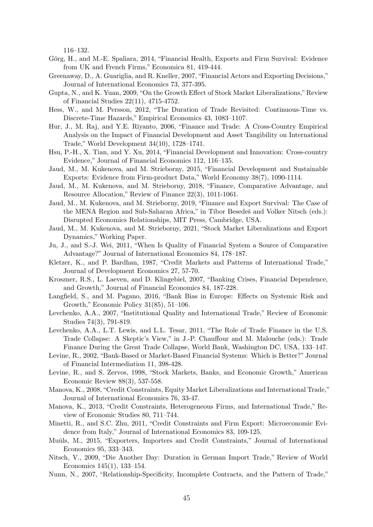116–132.

- Görg, H., and M.-E. Spaliara, 2014, "Financial Health, Exports and Firm Survival: Evidence from UK and French Firms," Economica 81, 419-444.
- Greenaway, D., A. Guariglia, and R. Kneller, 2007, "Financial Actors and Exporting Decisions," Journal of International Economics 73, 377-395.
- Gupta, N., and K. Yuan, 2009, "On the Growth Effect of Stock Market Liberalizations,"Review of Financial Studies 22(11), 4715-4752.
- Hess, W., and M. Persson, 2012, "The Duration of Trade Revisited: Continuous-Time vs. Discrete-Time Hazards," Empirical Economics 43, 1083–1107.
- Hur, J., M. Raj, and Y.E. Riyanto, 2006, "Finance and Trade: A Cross-Country Empirical Analysis on the Impact of Financial Development and Asset Tangibility on International Trade," World Development 34(10), 1728–1741.
- Hsu, P.-H., X. Tian, and Y. Xu, 2014, "Financial Development and Innovation: Cross-country Evidence," Journal of Financial Economics 112, 116–135.
- Jaud, M., M. Kukenova, and M. Strieborny, 2015, "Financial Development and Sustainable Exports: Evidence from Firm-product Data," World Economy 38(7), 1090-1114.
- Jaud, M., M. Kukenova, and M. Strieborny, 2018, "Finance, Comparative Advantage, and Resource Allocation," Review of Finance 22(3), 1011-1061.
- Jaud, M., M. Kukenova, and M. Strieborny, 2019, "Finance and Export Survival: The Case of the MENA Region and Sub-Saharan Africa," in Tibor Besedes and Volker Nitsch (eds.): Disrupted Economics Relationships, MIT Press, Cambridge, USA.
- Jaud, M., M. Kukenova, and M. Strieborny, 2021, "Stock Market Liberalizations and Export Dynamics," Working Paper.
- Ju, J., and S.-J. Wei, 2011, "When Is Quality of Financial System a Source of Comparative Advantage?" Journal of International Economics 84, 178–187.
- Kletzer, K., and P. Bardhan, 1987, "Credit Markets and Patterns of International Trade," Journal of Development Economics 27, 57-70.
- Kroszner, R.S., L. Laeven, and D. Klingebiel, 2007, "Banking Crises, Financial Dependence, and Growth," Journal of Financial Economics 84, 187-228.
- Langfield, S., and M. Pagano, 2016, "Bank Bias in Europe: Effects on Systemic Risk and Growth," Economic Policy 31(85), 51–106.
- Levchenko, A.A., 2007, "Institutional Quality and International Trade," Review of Economic Studies 74(3), 791-819.
- Levchenko, A.A., L.T. Lewis, and L.L. Tesar, 2011, "The Role of Trade Finance in the U.S. Trade Collapse: A Skeptic's View," in J.-P. Chauffour and M. Malouche (eds.): Trade Finance During the Great Trade Collapse, World Bank, Washington DC, USA, 133–147.
- Levine, R., 2002, "Bank-Based or Market-Based Financial Systems: Which is Better?" Journal of Financial Intermediation 11, 398-428.
- Levine, R., and S. Zervos, 1998, "Stock Markets, Banks, and Economic Growth," American Economic Review 88(3), 537-558.
- Manova, K., 2008, "Credit Constraints, Equity Market Liberalizations and International Trade," Journal of International Economics 76, 33-47.
- Manova, K., 2013, "Credit Constraints, Heterogeneous Firms, and International Trade," Review of Economic Studies 80, 711–744.
- Minetti, R., and S.C. Zhu, 2011, "Credit Constraints and Firm Export: Microeconomic Evidence from Italy," Journal of International Economics 83, 109-125.
- Muûls, M., 2015, "Exporters, Importers and Credit Constraints," Journal of International Economics 95, 333–343.
- Nitsch, V., 2009, "Die Another Day: Duration in German Import Trade," Review of World Economics 145(1), 133–154.
- Nunn, N., 2007, "Relationship-Specificity, Incomplete Contracts, and the Pattern of Trade,"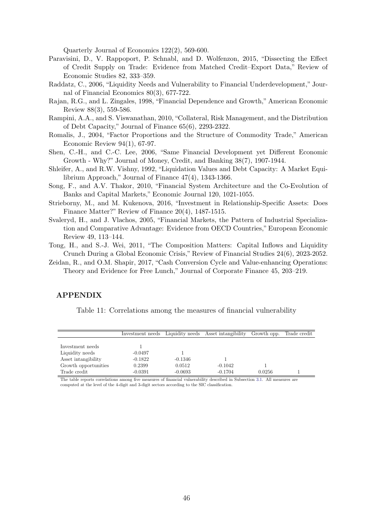Quarterly Journal of Economics 122(2), 569-600.

- Paravisini, D., V. Rappoport, P. Schnabl, and D. Wolfenzon, 2015, "Dissecting the Effect of Credit Supply on Trade: Evidence from Matched Credit–Export Data," Review of Economic Studies 82, 333–359.
- Raddatz, C., 2006, "Liquidity Needs and Vulnerability to Financial Underdevelopment," Journal of Financial Economics 80(3), 677-722.
- Rajan, R.G., and L. Zingales, 1998, "Financial Dependence and Growth," American Economic Review 88(3), 559-586.
- Rampini, A.A., and S. Viswanathan, 2010, "Collateral, Risk Management, and the Distribution of Debt Capacity," Journal of Finance 65(6), 2293-2322.
- Romalis, J., 2004, "Factor Proportions and the Structure of Commodity Trade," American Economic Review 94(1), 67-97.
- Shen, C.-H., and C.-C. Lee, 2006, "Same Financial Development yet Different Economic Growth - Why?" Journal of Money, Credit, and Banking 38(7), 1907-1944.
- Shleifer, A., and R.W. Vishny, 1992, "Liquidation Values and Debt Capacity: A Market Equilibrium Approach," Journal of Finance 47(4), 1343-1366.
- Song, F., and A.V. Thakor, 2010, "Financial System Architecture and the Co-Evolution of Banks and Capital Markets," Economic Journal 120, 1021-1055.
- Strieborny, M., and M. Kukenova, 2016, "Investment in Relationship-Specific Assets: Does Finance Matter?" Review of Finance 20(4), 1487-1515.
- Svaleryd, H., and J. Vlachos, 2005, "Financial Markets, the Pattern of Industrial Specialization and Comparative Advantage: Evidence from OECD Countries," European Economic Review 49, 113–144.
- Tong, H., and S.-J. Wei, 2011, "The Composition Matters: Capital Inflows and Liquidity Crunch During a Global Economic Crisis," Review of Financial Studies 24(6), 2023-2052.
- Zeidan, R., and O.M. Shapir, 2017, "Cash Conversion Cycle and Value-enhancing Operations: Theory and Evidence for Free Lunch," Journal of Corporate Finance 45, 203–219.

#### <span id="page-46-0"></span>APPENDIX

Table 11: Correlations among the measures of financial vulnerability

|                      |           |           | Investment needs Liquidity needs Asset intangibility | Growth opp. | Trade credit |
|----------------------|-----------|-----------|------------------------------------------------------|-------------|--------------|
| Investment needs     |           |           |                                                      |             |              |
|                      |           |           |                                                      |             |              |
| Liquidity needs      | $-0.0497$ |           |                                                      |             |              |
| Asset intangibility  | $-0.1822$ | $-0.1346$ |                                                      |             |              |
| Growth opportunities | 0.2399    | 0.0512    | $-0.1042$                                            |             |              |
| Trade credit         | $-0.0391$ | $-0.0693$ | $-0.1704$                                            | 0.0256      |              |

The table reports correlations among five measures of financial vulnerability described in Subsection [3.1.](#page-12-1) All measures are computed at the level of the 4-digit and 3-digit sectors according to the SIC classification.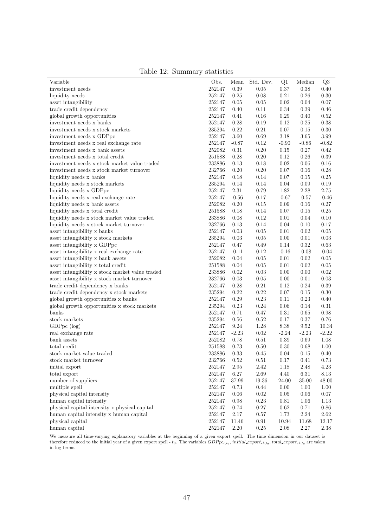<span id="page-47-0"></span>

| Variable                                        | Obs.       | Mean       | Std. Dev.  | Q1         | Median     | Q3         |
|-------------------------------------------------|------------|------------|------------|------------|------------|------------|
| investment needs                                | 252147     | 0.39       | 0.05       | 0.37       | 0.38       | 0.40       |
| liquidity needs                                 | 252147     | 0.25       | 0.08       | $\rm 0.21$ | $0.26\,$   | $0.30\,$   |
| asset intangibility                             | 252147     | 0.05       | 0.05       | 0.02       | $0.04\,$   | 0.07       |
| trade credit dependency                         | 252147     | 0.40       | 0.11       | 0.34       | 0.39       | 0.46       |
| global growth opportunities                     | 252147     | 0.41       | $0.16\,$   | 0.29       | 0.40       | 0.52       |
| investment needs x banks                        | 252147     | 0.28       | 0.19       | 0.12       | $0.25\,$   | $0.38\,$   |
| investment needs x stock markets                | 235294     | 0.22       | $\rm 0.21$ | 0.07       | $0.15\,$   | $0.30\,$   |
| investment needs x GDPpc                        | 252147     | 3.60       | 0.69       | 3.18       | 3.65       | 3.99       |
| investment needs x real exchange rate           | 252147     | $-0.87$    | 0.12       | $-0.90$    | $-0.86$    | $-0.82$    |
| investment needs x bank assets                  | 252082     | $\rm 0.31$ | $0.20\,$   | 0.15       | 0.27       | 0.42       |
| investment needs x total credit                 | 251588     | 0.28       | 0.20       | 0.12       | 0.26       | 0.39       |
| investment needs x stock market value traded    | 233886     | 0.13       | 0.18       | $0.02\,$   | $0.06\,$   | $0.16\,$   |
| investment needs x stock market turnover        | 232766     | 0.20       | 0.20       | 0.07       | 0.16       | 0.28       |
| liquidity needs x banks                         | 252147     | 0.18       | 0.14       | 0.07       | 0.15       | $0.25\,$   |
| liquidity needs x stock markets                 | 235294     | 0.14       | 0.14       | 0.04       | $0.09\,$   | 0.19       |
| liquidity needs x GDPpc                         | 252147     | 2.31       | 0.79       | 1.82       | $2.28\,$   | 2.75       |
| liquidity needs x real exchange rate            | 252147     | $-0.56$    | 0.17       | $-0.67$    | $-0.57$    | $-0.46$    |
| liquidity needs x bank assets                   | 252082     | 0.20       | $0.15\,$   | 0.09       | 0.16       | $0.27\,$   |
| liquidity needs x total credit                  | 251588     | 0.18       | 0.14       | 0.07       | 0.15       | $0.25\,$   |
| liquidity needs x stock market value traded     | 233886     | 0.08       | $0.12\,$   | 0.01       | 0.04       | 0.10       |
| liquidity needs x stock market turnover         | 232766     | 0.13       | 0.14       | 0.04       | 0.10       | 0.17       |
| asset intangibility x banks                     | 252147     | 0.03       | 0.05       | 0.01       | $\rm 0.02$ | $0.05\,$   |
| asset intangibility x stock markets             | 235294     | 0.03       | $0.05\,$   | 0.00       | $0.01\,$   | $0.03\,$   |
| asset intangibility x GDPpc                     | 252147     | 0.47       | 0.49       | 0.14       | 0.32       | 0.63       |
| asset intangibility x real exchange rate        | 252147     | $-0.11$    | 0.12       | $-0.16$    | $-0.08$    | $-0.04$    |
| asset intangibility x bank assets               | 252082     | 0.04       | 0.05       | 0.01       | 0.02       | $0.05\,$   |
| asset intangibility x total credit              | 251588     | 0.04       | $0.05\,$   | 0.01       | 0.02       | $0.05\,$   |
| asset intangibility x stock market value traded | 233886     | 0.02       | $0.03\,$   | 0.00       | 0.00       | $0.02\,$   |
| asset intangibility x stock market turnover     | 232766     | 0.03       | 0.05       | 0.00       | $0.01\,$   | 0.03       |
| trade credit dependency x banks                 | 252147     | 0.28       | 0.21       | 0.12       | 0.24       | $0.39\,$   |
| trade credit dependency x stock markets         | 235294     | 0.22       | 0.22       | 0.07       | $0.15\,$   | 0.30       |
| global growth opportunities x banks             | 252147     | 0.29       | 0.23       | 0.11       | $0.23\,$   | 0.40       |
| global growth opportunities x stock markets     | 235294     | 0.23       | 0.24       | 0.06       | 0.14       | $\rm 0.31$ |
| banks                                           | 252147     | 0.71       | 0.47       | 0.31       | 0.65       | 0.98       |
| stock markets                                   | 235294     | 0.56       | 0.52       | 0.17       | $0.37\,$   | 0.76       |
| $GDPpc$ (log)                                   | 252147     | 9.24       | 1.28       | 8.38       | 9.52       | 10.34      |
| real exchange rate                              | 252147     | $-2.23$    | $0.02\,$   | $-2.24$    | $-2.23$    | $-2.22$    |
| bank assets                                     | 252082     | 0.78       | $0.51\,$   | $0.39\,$   | $0.69\,$   | $1.08\,$   |
| total credit                                    | 251588     | 0.73       | 0.50       | 0.30       | 0.68       | 1.00       |
| stock market value traded                       | 233886     | 0.33       | 0.45       | 0.04       | $0.15\,$   | 0.40       |
| stock market turnover                           | 232766     | $0.52\,$   | $0.51\,$   | 0.17       | $0.41\,$   | $0.73\,$   |
| initial export                                  | 252147     | $2.95\,$   | 2.42       | 1.18       | $2.48\,$   | $4.23\,$   |
| total export                                    | $252147\,$ | $6.27\,$   | $2.69\,$   | 4.40       | $6.31\,$   | $8.13\,$   |
| number of suppliers                             | 252147     | 37.99      | 19.36      | 24.00      | 35.00      | 48.00      |
| multiple spell                                  | 252147     | 0.73       | 0.44       | 0.00       | 1.00       | 1.00       |
| physical capital intensity                      | 252147     | $0.06\,$   | 0.02       | $0.05\,$   | 0.06       | $0.07\,$   |
| human capital intensity                         | 252147     | 0.98       | $0.23\,$   | 0.81       | 1.06       | 1.13       |
| physical capital intensity x physical capital   | 252147     | 0.74       | $0.27\,$   | $0.62\,$   | $0.71\,$   | $0.86\,$   |
| human capital intensity x human capital         | 252147     | 2.17       | $0.57\,$   | $1.73\,$   | $2.24\,$   | 2.62       |
| physical capital                                | 252147     | 11.46      | 0.91       | 10.94      | 11.68      | 12.17      |
| human capital                                   | 252147     | 2.20       | $0.25\,$   | 2.08       | $2.27\,$   | $2.38\,$   |

Table 12: Summary statistics

We measure all time-varying explanatory variables at the beginning of a given export spell. The time dimension in our dataset is therefore reduced to the initial year of a given export spell -  $t_0$ . The variables  $GDPpc_{c,t_0}$ , initial export<sub>ck,t<sub>0</sub></sub>, total export<sub>ck,t<sub>0</sub></sub> are taken in log terms.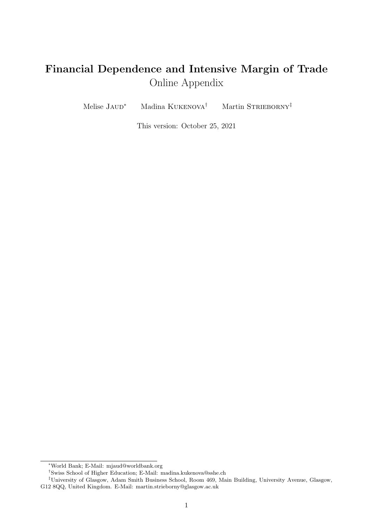## Financial Dependence and Intensive Margin of Trade Online Appendix

Melise Jaud<sup>∗</sup> Madina Kukenova<sup>†</sup> Martin Strieborny<sup>‡</sup>

This version: October 25, 2021

<sup>∗</sup>World Bank; E-Mail: mjaud@worldbank.org

<sup>†</sup>Swiss School of Higher Education; E-Mail: madina.kukenova@sshe.ch

<sup>‡</sup>University of Glasgow, Adam Smith Business School, Room 469, Main Building, University Avenue, Glasgow, G12 8QQ, United Kingdom. E-Mail: martin.strieborny@glasgow.ac.uk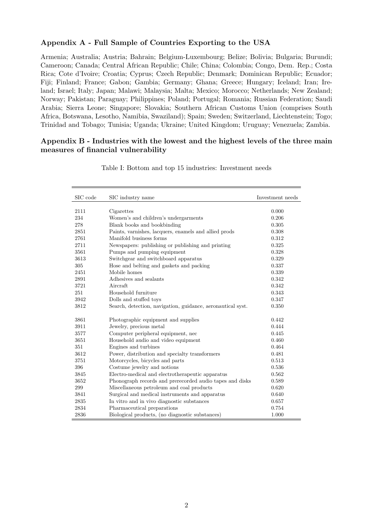## Appendix A - Full Sample of Countries Exporting to the USA

Armenia; Australia; Austria; Bahrain; Belgium-Luxembourg; Belize; Bolivia; Bulgaria; Burundi; Cameroon; Canada; Central African Republic; Chile; China; Colombia; Congo, Dem. Rep.; Costa Rica; Cote d'Ivoire; Croatia; Cyprus; Czech Republic; Denmark; Dominican Republic; Ecuador; Fiji; Finland; France; Gabon; Gambia; Germany; Ghana; Greece; Hungary; Iceland; Iran; Ireland; Israel; Italy; Japan; Malawi; Malaysia; Malta; Mexico; Morocco; Netherlands; New Zealand; Norway; Pakistan; Paraguay; Philippines; Poland; Portugal; Romania; Russian Federation; Saudi Arabia; Sierra Leone; Singapore; Slovakia; Southern African Customs Union (comprises South Africa, Botswana, Lesotho, Namibia, Swaziland); Spain; Sweden; Switzerland, Liechtenstein; Togo; Trinidad and Tobago; Tunisia; Uganda; Ukraine; United Kingdom; Uruguay; Venezuela; Zambia.

## Appendix B - Industries with the lowest and the highest levels of the three main measures of financial vulnerability

| SIC code | SIC industry name                                           | Investment needs |
|----------|-------------------------------------------------------------|------------------|
|          |                                                             |                  |
| 2111     | Cigarettes                                                  | 0.000            |
| 234      | Women's and children's undergarments                        | 0.206            |
| 278      | Blank books and bookbinding                                 | 0.305            |
| 2851     | Paints, varnishes, lacquers, enamels and allied prods       | 0.308            |
| 2761     | Manifold business forms                                     | 0.312            |
| 2711     | Newspapers: publishing or publishing and printing           | 0.325            |
| 3561     | Pumps and pumping equipment                                 | 0.328            |
| 3613     | Switchgear and switchboard apparatus                        | 0.329            |
| 305      | Hose and belting and gaskets and packing                    | 0.337            |
| 2451     | Mobile homes                                                | 0.339            |
| 2891     | Adhesives and sealants                                      | 0.342            |
| 3721     | Aircraft                                                    | 0.342            |
| 251      | Household furniture                                         | 0.343            |
| 3942     | Dolls and stuffed toys                                      | 0.347            |
| 3812     | Search, detection, navigation, guidance, aeronautical syst. | 0.350            |
| 3861     | Photographic equipment and supplies                         | 0.442            |
| 3911     | Jewelry, precious metal                                     | 0.444            |
| 3577     | Computer peripheral equipment, nec                          | 0.445            |
| 3651     | Household audio and video equipment                         | 0.460            |
| 351      | Engines and turbines                                        | 0.464            |
| 3612     | Power, distribution and specialty transformers              | 0.481            |
| 3751     | Motorcycles, bicycles and parts                             | 0.513            |
| 396      | Costume jewelry and notions                                 | 0.536            |
| 3845     | Electro-medical and electrotherapeutic apparatus            | 0.562            |
| 3652     | Phonograph records and prerecorded audio tapes and disks    | 0.589            |
| 299      | Miscellaneous petroleum and coal products                   | 0.620            |
| 3841     | Surgical and medical instruments and apparatus              | 0.640            |
| 2835     | In vitro and in vivo diagnostic substances                  | 0.657            |
| 2834     | Pharmaceutical preparations                                 | 0.754            |
| 2836     | Biological products, (no diagnostic substances)             | 1.000            |

Table I: Bottom and top 15 industries: Investment needs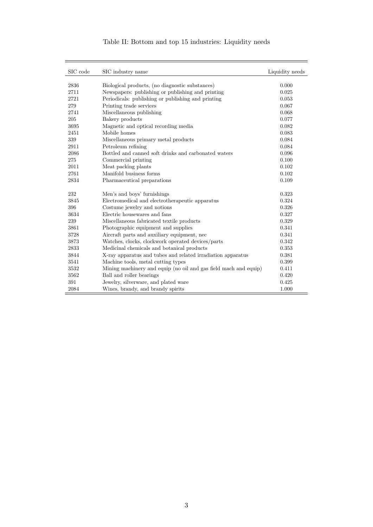| SIC code | SIC industry name                                                | Liquidity needs |
|----------|------------------------------------------------------------------|-----------------|
|          |                                                                  |                 |
| 2836     | Biological products, (no diagnostic substances)                  | 0.000           |
| 2711     | Newspapers: publishing or publishing and printing                | 0.025           |
| 2721     | Periodicals: publishing or publishing and printing               | 0.053           |
| 279      | Printing trade services                                          | 0.067           |
| 2741     | Miscellaneous publishing                                         | 0.068           |
| 205      | Bakery products                                                  | 0.077           |
| 3695     | Magnetic and optical recording media                             | 0.082           |
| 2451     | Mobile homes                                                     | 0.083           |
| 339      | Miscellaneous primary metal products                             | 0.084           |
| 2911     | Petroleum refining                                               | 0.084           |
| 2086     | Bottled and canned soft drinks and carbonated waters             | 0.096           |
| 275      | Commercial printing                                              | 0.100           |
| 2011     | Meat packing plants                                              | 0.102           |
| 2761     | Manifold business forms                                          | 0.102           |
| 2834     | Pharmaceutical preparations                                      | 0.109           |
| 232      | Men's and boys' furnishings                                      | 0.323           |
| 3845     | Electromedical and electrotherapeutic apparatus                  | 0.324           |
| 396      | Costume jewelry and notions                                      | 0.326           |
| 3634     | Electric housewares and fans                                     | 0.327           |
| 239      | Miscellaneous fabricated textile products                        | 0.329           |
| 3861     | Photographic equipment and supplies                              | 0.341           |
| 3728     | Aircraft parts and auxiliary equipment, nec                      | 0.341           |
| 3873     | Watches, clocks, clockwork operated devices/parts                | 0.342           |
| 2833     | Medicinal chemicals and botanical products                       | 0.353           |
| 3844     | X-ray apparatus and tubes and related irradiation apparatus      | 0.381           |
| 3541     | Machine tools, metal cutting types                               | 0.399           |
| 3532     | Mining machinery and equip (no oil and gas field mach and equip) | 0.411           |
| 3562     | Ball and roller bearings                                         | 0.420           |
| 391      | Jewelry, silverware, and plated ware                             | 0.425           |
| 2084     | Wines, brandy, and brandy spirits                                | 1.000           |

Table II: Bottom and top 15 industries: Liquidity needs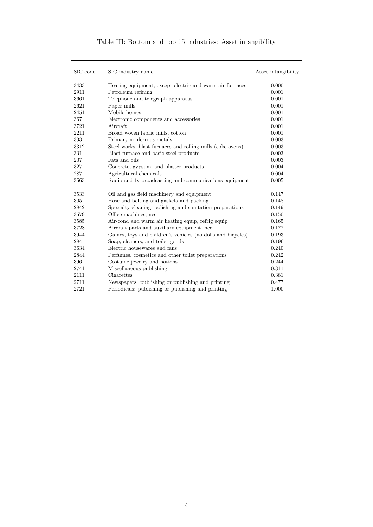| SIC code | SIC industry name                                           | Asset intangibility |
|----------|-------------------------------------------------------------|---------------------|
|          |                                                             |                     |
| 3433     | Heating equipment, except electric and warm air furnaces    | 0.000               |
| 2911     | Petroleum refining                                          | 0.001               |
| 3661     | Telephone and telegraph apparatus                           | 0.001               |
| 2621     | Paper mills                                                 | 0.001               |
| 2451     | Mobile homes                                                | 0.001               |
| 367      | Electronic components and accessories                       | 0.001               |
| 3721     | Aircraft                                                    | 0.001               |
| 2211     | Broad woven fabric mills, cotton                            | 0.001               |
| 333      | Primary nonferrous metals                                   | 0.003               |
| 3312     | Steel works, blast furnaces and rolling mills (coke ovens)  | 0.003               |
| 331      | Blast furnace and basic steel products                      | 0.003               |
| 207      | Fats and oils                                               | 0.003               |
| 327      | Concrete, gypsum, and plaster products                      | 0.004               |
| 287      | Agricultural chemicals                                      | 0.004               |
| 3663     | Radio and ty broadcasting and communications equipment      | 0.005               |
| 3533     | Oil and gas field machinery and equipment                   | 0.147               |
| 305      | Hose and belting and gaskets and packing                    | 0.148               |
| 2842     | Specialty cleaning, polishing and sanitation preparations   | 0.149               |
| 3579     | Office machines, nec                                        | 0.150               |
| 3585     | Air-cond and warm air heating equip, refrig equip           | 0.165               |
| 3728     | Aircraft parts and auxiliary equipment, nec                 | 0.177               |
| 3944     | Games, toys and children's vehicles (no dolls and bicycles) | 0.193               |
| 284      | Soap, cleaners, and toilet goods                            | 0.196               |
| 3634     | Electric housewares and fans                                | 0.240               |
| 2844     | Perfumes, cosmetics and other toilet preparations           | 0.242               |
| 396      | Costume jewelry and notions                                 | 0.244               |
| 2741     | Miscellaneous publishing                                    | 0.311               |
| 2111     | Cigarettes                                                  | 0.381               |
| 2711     | Newspapers: publishing or publishing and printing           | 0.477               |
| 2721     | Periodicals: publishing or publishing and printing          | 1.000               |

## Table III: Bottom and top 15 industries: Asset intangibility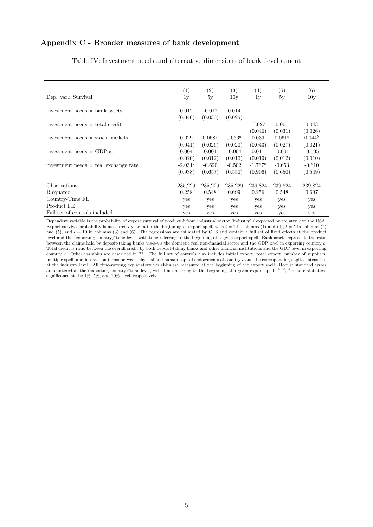#### <span id="page-52-0"></span>Appendix C - Broader measures of bank development

|                                              | $\scriptstyle{(1)}$ | (2)       | (3)       | (4)       | $\left( 5\right)$ | (6)       |
|----------------------------------------------|---------------------|-----------|-----------|-----------|-------------------|-----------|
| Dep. var.: Survival                          | 1 <sub>V</sub>      | 5y        | 10y       | 1y        | 5y                | 10y       |
|                                              |                     |           |           |           |                   |           |
| investment needs $\times$ bank assets        | 0.012               | $-0.017$  | 0.014     |           |                   |           |
|                                              | (0.046)             | (0.030)   | (0.025)   |           |                   |           |
| investment needs $\times$ total credit       |                     |           |           | $-0.027$  | 0.001             | 0.043     |
|                                              |                     |           |           | (0.046)   | (0.031)           | (0.026)   |
| investment needs $\times$ stock markets      | 0.029               | $0.068^a$ | $0.056^a$ | 0.039     | $0.061^b$         | $0.044^b$ |
|                                              | (0.041)             | (0.026)   | (0.020)   | (0.043)   | (0.027)           | (0.021)   |
| investment needs $\times$ GDPpc              | 0.004               | 0.001     | $-0.004$  | 0.011     | $-0.001$          | $-0.005$  |
|                                              | (0.020)             | (0.012)   | (0.010)   | (0.019)   | (0.012)           | (0.010)   |
| investment needs $\times$ real exchange rate | $-2.034^{b}$        | $-0.620$  | $-0.502$  | $-1.767c$ | $-0.653$          | $-0.610$  |
|                                              | (0.938)             | (0.657)   | (0.550)   | (0.906)   | (0.650)           | (0.549)   |
|                                              |                     |           |           |           |                   |           |
| Observations                                 | 235,229             | 235,229   | 235,229   | 239,824   | 239,824           | 239,824   |
| R-squared                                    | 0.258               | 0.548     | 0.699     | 0.256     | 0.548             | 0.697     |
| Country-Time FE                              | yes                 | yes       | yes       | yes       | yes               | yes       |
| Product FE                                   | yes                 | yes       | yes       | yes       | yes               | yes       |
| Full set of controls included                | yes                 | yes       | yes       | yes       | yes               | yes       |

Table IV: Investment needs and alternative dimensions of bank development

Dependent variable is the probability of export survival of product  $k$  from industrial sector (industry)  $i$  exported by country  $c$  to the USA. Export survival probability is measured l years after the beginning of export spell, with  $l = 1$  in columns (1) and (4),  $l = 5$  in columns (2) and (5), and  $l = 10$  in columns (3) and (6). The regressions are estimated by OLS and contain a full set of fixed effects at the product level and the (exporting country)\*time level, with time referring to the beginning of a given export spell. Bank assets represents the ratio between the claims held by deposit-taking banks vis-a-vis the domestic real non-financial sector and the GDP level in exporting country c. Total credit is ratio between the overall credit by both deposit-taking banks and other financial institutions and the GDP level in exporting country c. Other variables are described in ??. The full set of controls also includes initial export, total export, number of suppliers, multiple spell, and interaction terms between physical and human capital endowments of country c and the corresponding capital intensities at the industry level. All time-varying explanatory variables are measured at the beginning of the export spell. Robust standard errors are clustered at the (exporting country)\*time level, with time referring to the beginning of a given export spell.  $a, b, c$  denote statistical significance at the 1%, 5%, and 10% level, respectively.